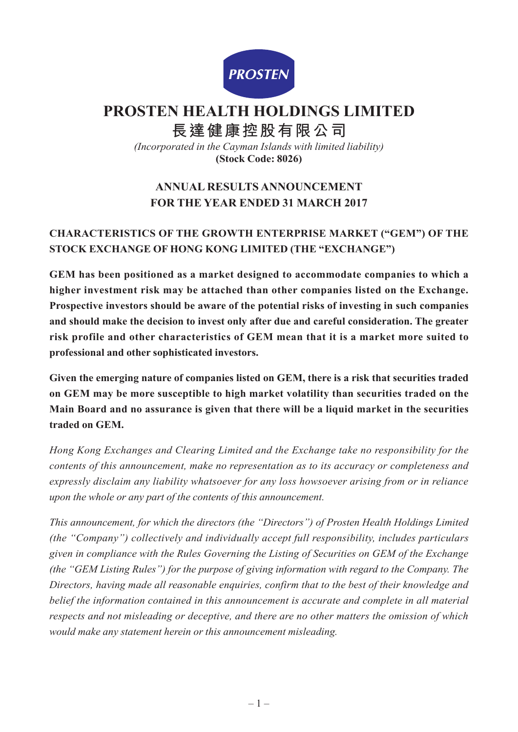

# **PROSTEN HEALTH HOLDINGS LIMITED**

**長達健康控股有限公司**

*(Incorporated in the Cayman Islands with limited liability)* **(Stock Code: 8026)**

# **ANNUAL RESULTS ANNOUNCEMENT FOR THE YEAR ENDED 31 MARCH 2017**

# **CHARACTERISTICS OF THE GROWTH ENTERPRISE MARKET ("GEM") OF THE STOCK EXCHANGE OF HONG KONG LIMITED (THE "EXCHANGE")**

**GEM has been positioned as a market designed to accommodate companies to which a higher investment risk may be attached than other companies listed on the Exchange. Prospective investors should be aware of the potential risks of investing in such companies and should make the decision to invest only after due and careful consideration. The greater risk profile and other characteristics of GEM mean that it is a market more suited to professional and other sophisticated investors.**

**Given the emerging nature of companies listed on GEM, there is a risk that securities traded on GEM may be more susceptible to high market volatility than securities traded on the Main Board and no assurance is given that there will be a liquid market in the securities traded on GEM.**

*Hong Kong Exchanges and Clearing Limited and the Exchange take no responsibility for the contents of this announcement, make no representation as to its accuracy or completeness and expressly disclaim any liability whatsoever for any loss howsoever arising from or in reliance upon the whole or any part of the contents of this announcement.*

*This announcement, for which the directors (the "Directors") of Prosten Health Holdings Limited (the "Company") collectively and individually accept full responsibility, includes particulars given in compliance with the Rules Governing the Listing of Securities on GEM of the Exchange (the "GEM Listing Rules") for the purpose of giving information with regard to the Company. The Directors, having made all reasonable enquiries, confirm that to the best of their knowledge and belief the information contained in this announcement is accurate and complete in all material respects and not misleading or deceptive, and there are no other matters the omission of which would make any statement herein or this announcement misleading.*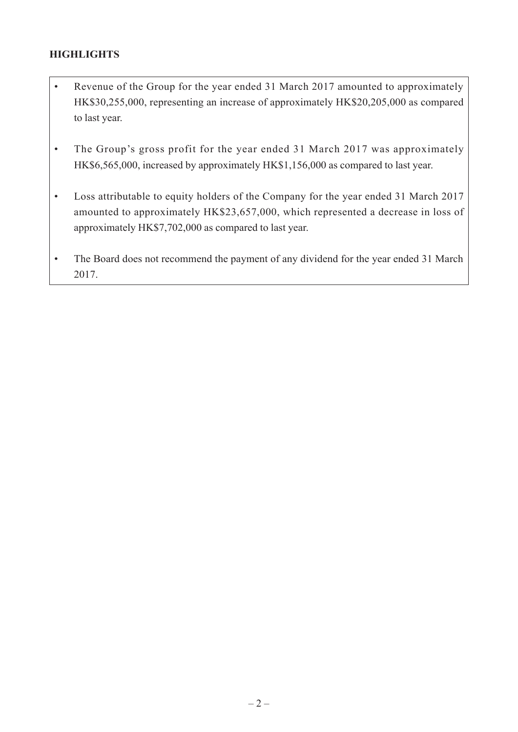# **HIGHLIGHTS**

- Revenue of the Group for the year ended 31 March 2017 amounted to approximately HK\$30,255,000, representing an increase of approximately HK\$20,205,000 as compared to last year.
- The Group's gross profit for the year ended 31 March 2017 was approximately HK\$6,565,000, increased by approximately HK\$1,156,000 as compared to last year.
- Loss attributable to equity holders of the Company for the year ended 31 March 2017 amounted to approximately HK\$23,657,000, which represented a decrease in loss of approximately HK\$7,702,000 as compared to last year.
- The Board does not recommend the payment of any dividend for the year ended 31 March 2017.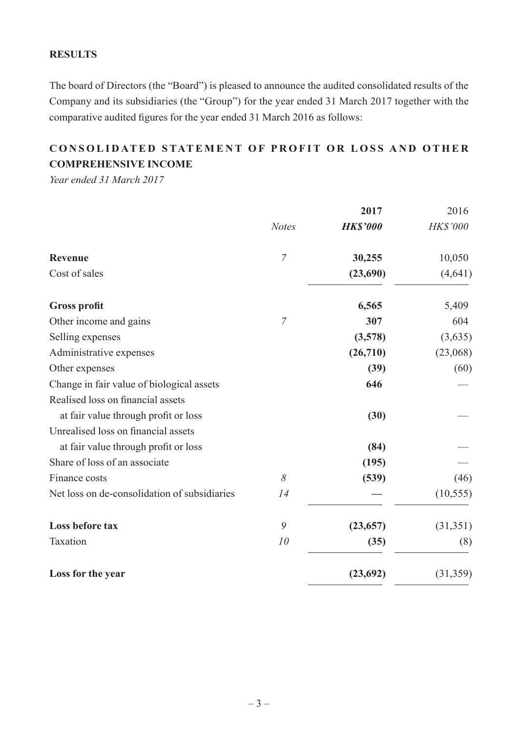## **RESULTS**

The board of Directors (the "Board") is pleased to announce the audited consolidated results of the Company and its subsidiaries (the "Group") for the year ended 31 March 2017 together with the comparative audited figures for the year ended 31 March 2016 as follows:

# **C onsolidated S tatement of P rofit or L oss and O ther Comprehensive Income**

*Year ended 31 March 2017*

|                                              |                | 2017            | 2016            |
|----------------------------------------------|----------------|-----------------|-----------------|
|                                              | <b>Notes</b>   | <b>HK\$'000</b> | <b>HK\$'000</b> |
| <b>Revenue</b>                               | $\overline{7}$ | 30,255          | 10,050          |
| Cost of sales                                |                | (23,690)        | (4, 641)        |
| <b>Gross profit</b>                          |                | 6,565           | 5,409           |
| Other income and gains                       | $\overline{7}$ | 307             | 604             |
| Selling expenses                             |                | (3,578)         | (3,635)         |
| Administrative expenses                      |                | (26,710)        | (23,068)        |
| Other expenses                               |                | (39)            | (60)            |
| Change in fair value of biological assets    |                | 646             |                 |
| Realised loss on financial assets            |                |                 |                 |
| at fair value through profit or loss         |                | (30)            |                 |
| Unrealised loss on financial assets          |                |                 |                 |
| at fair value through profit or loss         |                | (84)            |                 |
| Share of loss of an associate                |                | (195)           |                 |
| Finance costs                                | 8              | (539)           | (46)            |
| Net loss on de-consolidation of subsidiaries | 14             |                 | (10, 555)       |
| Loss before tax                              | 9              | (23, 657)       | (31, 351)       |
| Taxation                                     | 10             | (35)            | (8)             |
| Loss for the year                            |                | (23, 692)       | (31,359)        |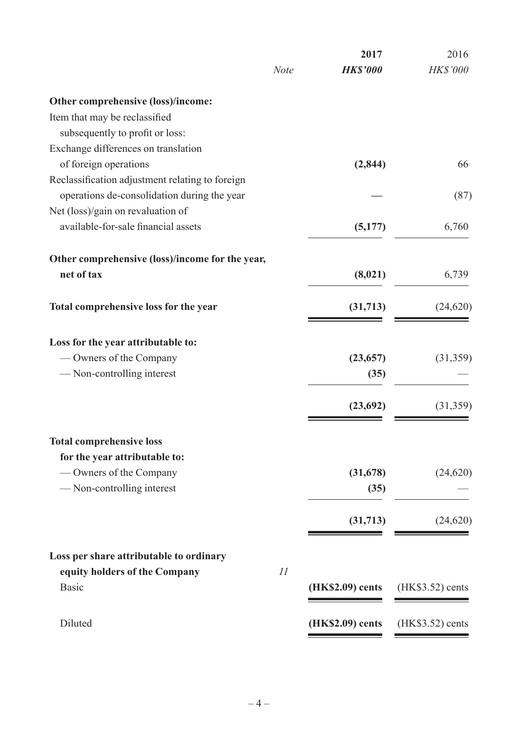|                                                 |             | 2017             | 2016              |
|-------------------------------------------------|-------------|------------------|-------------------|
|                                                 | <b>Note</b> | <b>HK\$'000</b>  | HK\$'000          |
| Other comprehensive (loss)/income:              |             |                  |                   |
| Item that may be reclassified                   |             |                  |                   |
| subsequently to profit or loss:                 |             |                  |                   |
| Exchange differences on translation             |             |                  |                   |
| of foreign operations                           |             | (2, 844)         | 66                |
| Reclassification adjustment relating to foreign |             |                  |                   |
| operations de-consolidation during the year     |             |                  | (87)              |
| Net (loss)/gain on revaluation of               |             |                  |                   |
| available-for-sale financial assets             |             | (5,177)          | 6,760             |
| Other comprehensive (loss)/income for the year, |             |                  |                   |
| net of tax                                      |             | (8,021)          | 6,739             |
| Total comprehensive loss for the year           |             | (31,713)         | (24, 620)         |
| Loss for the year attributable to:              |             |                  |                   |
| — Owners of the Company                         |             | (23, 657)        | (31, 359)         |
| — Non-controlling interest                      |             | (35)             |                   |
|                                                 |             |                  |                   |
|                                                 |             | (23, 692)        | (31,359)          |
| <b>Total comprehensive loss</b>                 |             |                  |                   |
| for the year attributable to:                   |             |                  |                   |
| — Owners of the Company                         |             | (31,678)         | (24, 620)         |
| -Non-controlling interest                       |             | (35)             |                   |
|                                                 |             | (31,713)         | (24, 620)         |
|                                                 |             |                  |                   |
| Loss per share attributable to ordinary         |             |                  |                   |
| equity holders of the Company<br><b>Basic</b>   | 11          | (HK\$2.09) cents | $(HK$3.52)$ cents |
|                                                 |             |                  |                   |
| Diluted                                         |             | (HK\$2.09) cents | (HK\$3.52) cents  |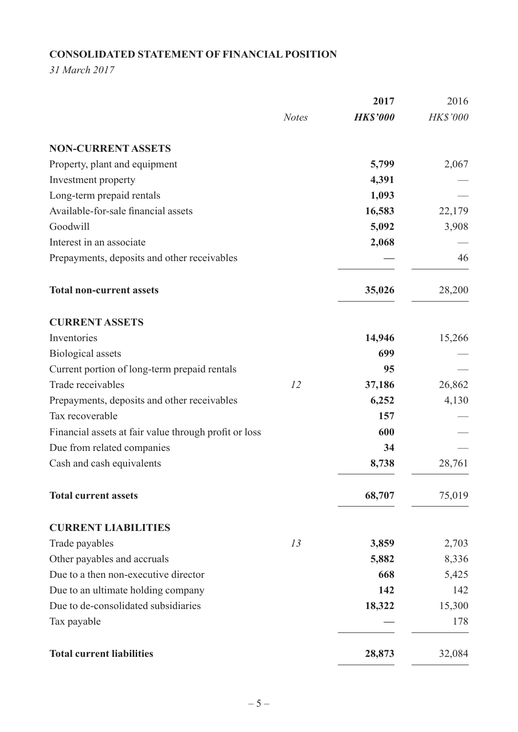# **Consolidated Statement of Financial Position**

*31 March 2017*

|                                                       |              | 2017            | 2016     |
|-------------------------------------------------------|--------------|-----------------|----------|
|                                                       | <b>Notes</b> | <b>HK\$'000</b> | HK\$'000 |
| <b>NON-CURRENT ASSETS</b>                             |              |                 |          |
| Property, plant and equipment                         |              | 5,799           | 2,067    |
| Investment property                                   |              | 4,391           |          |
| Long-term prepaid rentals                             |              | 1,093           |          |
| Available-for-sale financial assets                   |              | 16,583          | 22,179   |
| Goodwill                                              |              | 5,092           | 3,908    |
| Interest in an associate                              |              | 2,068           |          |
| Prepayments, deposits and other receivables           |              |                 | 46       |
| <b>Total non-current assets</b>                       |              | 35,026          | 28,200   |
| <b>CURRENT ASSETS</b>                                 |              |                 |          |
| Inventories                                           |              | 14,946          | 15,266   |
| <b>Biological</b> assets                              |              | 699             |          |
| Current portion of long-term prepaid rentals          |              | 95              |          |
| Trade receivables                                     | 12           | 37,186          | 26,862   |
| Prepayments, deposits and other receivables           |              | 6,252           | 4,130    |
| Tax recoverable                                       |              | 157             |          |
| Financial assets at fair value through profit or loss |              | 600             |          |
| Due from related companies                            |              | 34              |          |
| Cash and cash equivalents                             |              | 8,738           | 28,761   |
| <b>Total current assets</b>                           |              | 68,707          | 75,019   |
| <b>CURRENT LIABILITIES</b>                            |              |                 |          |
| Trade payables                                        | 13           | 3,859           | 2,703    |
| Other payables and accruals                           |              | 5,882           | 8,336    |
| Due to a then non-executive director                  |              | 668             | 5,425    |
| Due to an ultimate holding company                    |              | 142             | 142      |
| Due to de-consolidated subsidiaries                   |              | 18,322          | 15,300   |
| Tax payable                                           |              |                 | 178      |
| <b>Total current liabilities</b>                      |              | 28,873          | 32,084   |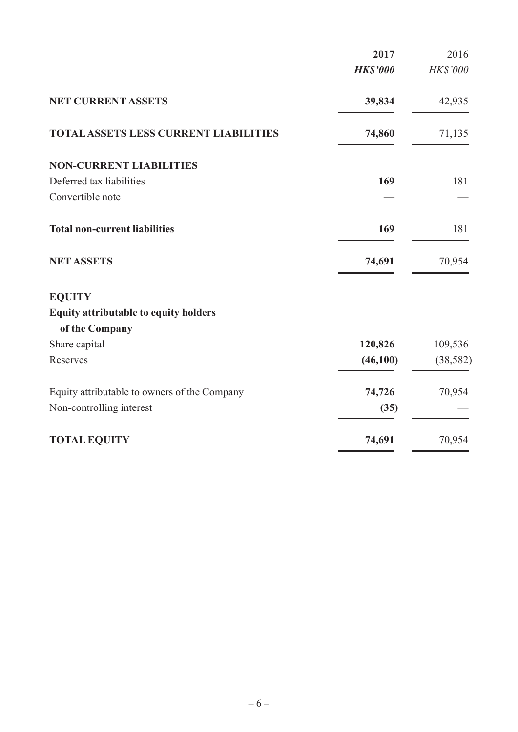|                                              | 2017            | 2016      |
|----------------------------------------------|-----------------|-----------|
|                                              | <b>HK\$'000</b> | HK\$'000  |
| <b>NET CURRENT ASSETS</b>                    | 39,834          | 42,935    |
| <b>TOTAL ASSETS LESS CURRENT LIABILITIES</b> | 74,860          | 71,135    |
| <b>NON-CURRENT LIABILITIES</b>               |                 |           |
| Deferred tax liabilities                     | 169             | 181       |
| Convertible note                             |                 |           |
| <b>Total non-current liabilities</b>         | 169             | 181       |
| <b>NET ASSETS</b>                            | 74,691          | 70,954    |
| <b>EQUITY</b>                                |                 |           |
| <b>Equity attributable to equity holders</b> |                 |           |
| of the Company                               |                 |           |
| Share capital                                | 120,826         | 109,536   |
| Reserves                                     | (46,100)        | (38, 582) |
| Equity attributable to owners of the Company | 74,726          | 70,954    |
| Non-controlling interest                     | (35)            |           |
| <b>TOTAL EQUITY</b>                          | 74,691          | 70,954    |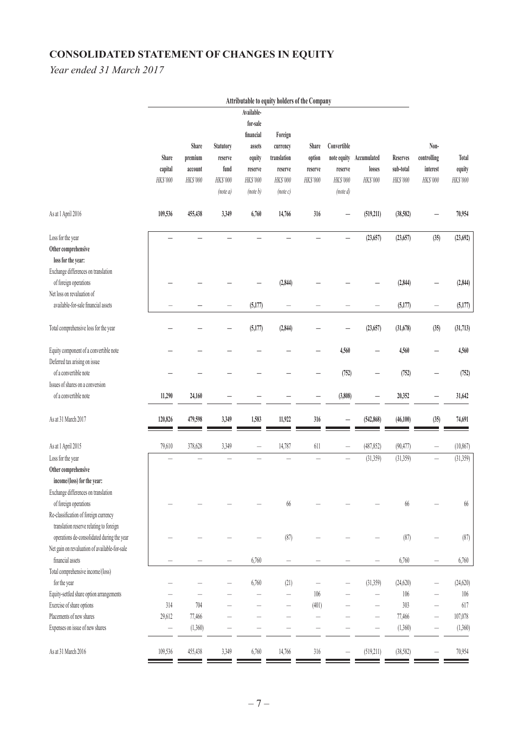# **CONSOLIDATED STATEMENT OF CHANGES IN EQUITY**

*Year ended 31 March 2017*

|                                               |                          |            |                          |            | Attributable to equity holders of the Company |                          |                          |                          |                 |                          |           |
|-----------------------------------------------|--------------------------|------------|--------------------------|------------|-----------------------------------------------|--------------------------|--------------------------|--------------------------|-----------------|--------------------------|-----------|
|                                               |                          |            |                          | Available- |                                               |                          |                          |                          |                 |                          |           |
|                                               |                          |            |                          | for-sale   |                                               |                          |                          |                          |                 |                          |           |
|                                               |                          |            |                          | financial  | Foreign                                       |                          |                          |                          |                 |                          |           |
|                                               |                          | Share      | Statutory                | assets     | currency                                      | Share                    | Convertible              |                          |                 | Non-                     |           |
|                                               | Share                    | premium    | reserve                  | equity     | translation                                   | option                   |                          | note equity Accumulated  | <b>Reserves</b> | controlling              | Total     |
|                                               | capital                  | account    | fund                     | reserve    | reserve                                       | reserve                  | reserve                  | losses                   | sub-total       | interest                 | equity    |
|                                               | HK\$'000                 | $HK\$ '000 | HK\$'000                 | HK\$'000   | HK\$'000                                      | HK\$'000                 | HK\$'000                 | HK\$'000                 | HK\$'000        | HK\$'000                 | HK\$'000  |
|                                               |                          |            | (note a)                 | (note b)   | (note c)                                      |                          | (note d)                 |                          |                 |                          |           |
| As at 1 April 2016                            | 109,536                  | 455,438    | 3,349                    | 6,760      | 14,766                                        | 316                      | —                        | (519,211)                | (38, 582)       |                          | 70,954    |
| Loss for the year                             |                          |            |                          |            |                                               |                          |                          | (23, 657)                | (23, 657)       | (35)                     | (23, 692) |
| Other comprehensive                           |                          |            |                          |            |                                               |                          |                          |                          |                 |                          |           |
| loss for the year:                            |                          |            |                          |            |                                               |                          |                          |                          |                 |                          |           |
| Exchange differences on translation           |                          |            |                          |            |                                               |                          |                          |                          |                 |                          |           |
| of foreign operations                         |                          |            |                          |            | (2, 844)                                      |                          |                          |                          | (2, 844)        |                          | (2, 844)  |
| Net loss on revaluation of                    |                          |            |                          |            |                                               |                          |                          |                          |                 |                          |           |
| available-for-sale financial assets           |                          |            | -                        | (5, 177)   | $\overline{\phantom{0}}$                      |                          |                          |                          | (5, 177)        | -                        | (5,177)   |
| Total comprehensive loss for the year         |                          |            |                          | (5, 177)   | (2, 844)                                      |                          |                          | (23, 657)                | (31, 678)       | (35)                     | (31, 713) |
| Equity component of a convertible note        |                          |            |                          |            |                                               |                          | 4,560                    |                          | 4,560           |                          | 4,560     |
| Deferred tax arising on issue                 |                          |            |                          |            |                                               |                          |                          |                          |                 |                          |           |
| of a convertible note                         |                          |            |                          |            |                                               |                          | (752)                    |                          | (752)           |                          | (752)     |
| Issues of shares on a conversion              |                          |            |                          |            |                                               |                          |                          |                          |                 |                          |           |
| of a convertible note                         | 11,290                   | 24,160     |                          |            |                                               |                          | (3,808)                  |                          | 20,352          |                          | 31,642    |
| As at 31 March 2017                           | 120,826                  | 479,598    | 3,349                    | 1,583      | 11,922                                        | 316                      |                          | (542, 868)               | (46,100)        | (35)                     | 74,691    |
| As at 1 April 2015                            | 79,610                   | 378,628    | 3,349                    |            | 14,787                                        | 611                      |                          | (487, 852)               | (90, 477)       | $\qquad \qquad -$        | (10, 867) |
| Loss for the year                             |                          |            |                          |            |                                               |                          | $\overline{\phantom{0}}$ | (31,359)                 | (31, 359)       | $\overline{\phantom{0}}$ | (31,359)  |
| Other comprehensive                           |                          |            |                          |            |                                               |                          |                          |                          |                 |                          |           |
| income/(loss) for the year:                   |                          |            |                          |            |                                               |                          |                          |                          |                 |                          |           |
| Exchange differences on translation           |                          |            |                          |            |                                               |                          |                          |                          |                 |                          |           |
| of foreign operations                         |                          |            |                          |            | $66\,$                                        |                          |                          |                          | 66              |                          | $66\,$    |
| Re-classification of foreign currency         |                          |            |                          |            |                                               |                          |                          |                          |                 |                          |           |
| translation reserve relating to foreign       |                          |            |                          |            |                                               |                          |                          |                          |                 |                          |           |
| operations de-consolidated during the year    |                          |            |                          |            | (87)                                          |                          |                          |                          | (87)            |                          | (87)      |
| Net gain on revaluation of available-for-sale |                          |            |                          |            |                                               |                          |                          |                          |                 |                          |           |
| financial assets                              |                          |            | $\overline{\phantom{0}}$ | 6,760      | $\overline{\phantom{0}}$                      |                          |                          |                          | 6,760           |                          | 6,760     |
| Total comprehensive income/(loss)             |                          |            |                          |            |                                               |                          |                          |                          |                 |                          |           |
| for the year                                  |                          |            |                          | 6,760      | (21)                                          |                          |                          | (31,359)                 | (24, 620)       |                          | (24, 620) |
| Equity-settled share option arrangements      |                          |            |                          |            |                                               | 106                      |                          |                          | 106             |                          | $106$     |
| Exercise of share options                     | 314                      | 704        |                          |            |                                               | (401)                    |                          |                          | 303             |                          | 617       |
| Placements of new shares                      | 29,612                   | 77,466     |                          |            |                                               | $\overline{\phantom{0}}$ |                          |                          | 77,466          |                          | 107,078   |
| Expenses on issue of new shares               | $\overline{\phantom{0}}$ | (1,360)    |                          |            |                                               |                          |                          | $\overline{\phantom{0}}$ | (1,360)         | $\overline{\phantom{0}}$ | (1,360)   |
| As at 31 March 2016                           | 109,536                  | 455,438    | 3,349                    | 6,760      | 14,766                                        | $316$                    | $\overline{\phantom{0}}$ | (519, 211)               | (38, 582)       |                          | 70,954    |
|                                               |                          |            |                          |            |                                               |                          |                          |                          |                 |                          |           |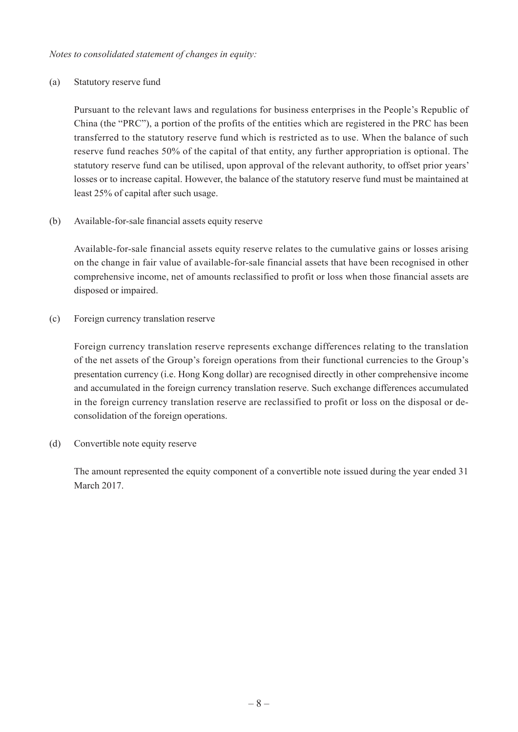*Notes to consolidated statement of changes in equity:*

#### (a) Statutory reserve fund

Pursuant to the relevant laws and regulations for business enterprises in the People's Republic of China (the "PRC"), a portion of the profits of the entities which are registered in the PRC has been transferred to the statutory reserve fund which is restricted as to use. When the balance of such reserve fund reaches 50% of the capital of that entity, any further appropriation is optional. The statutory reserve fund can be utilised, upon approval of the relevant authority, to offset prior years' losses or to increase capital. However, the balance of the statutory reserve fund must be maintained at least 25% of capital after such usage.

(b) Available-for-sale financial assets equity reserve

Available-for-sale financial assets equity reserve relates to the cumulative gains or losses arising on the change in fair value of available-for-sale financial assets that have been recognised in other comprehensive income, net of amounts reclassified to profit or loss when those financial assets are disposed or impaired.

(c) Foreign currency translation reserve

Foreign currency translation reserve represents exchange differences relating to the translation of the net assets of the Group's foreign operations from their functional currencies to the Group's presentation currency (i.e. Hong Kong dollar) are recognised directly in other comprehensive income and accumulated in the foreign currency translation reserve. Such exchange differences accumulated in the foreign currency translation reserve are reclassified to profit or loss on the disposal or deconsolidation of the foreign operations.

(d) Convertible note equity reserve

The amount represented the equity component of a convertible note issued during the year ended 31 March 2017.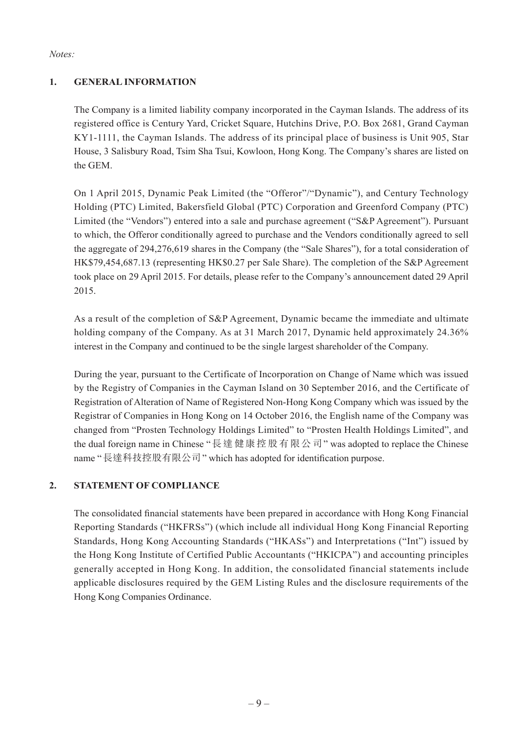*Notes:*

## **1. General Information**

The Company is a limited liability company incorporated in the Cayman Islands. The address of its registered office is Century Yard, Cricket Square, Hutchins Drive, P.O. Box 2681, Grand Cayman KY1-1111, the Cayman Islands. The address of its principal place of business is Unit 905, Star House, 3 Salisbury Road, Tsim Sha Tsui, Kowloon, Hong Kong. The Company's shares are listed on the GEM.

On 1 April 2015, Dynamic Peak Limited (the "Offeror"/"Dynamic"), and Century Technology Holding (PTC) Limited, Bakersfield Global (PTC) Corporation and Greenford Company (PTC) Limited (the "Vendors") entered into a sale and purchase agreement ("S&P Agreement"). Pursuant to which, the Offeror conditionally agreed to purchase and the Vendors conditionally agreed to sell the aggregate of 294,276,619 shares in the Company (the "Sale Shares"), for a total consideration of HK\$79,454,687.13 (representing HK\$0.27 per Sale Share). The completion of the S&P Agreement took place on 29 April 2015. For details, please refer to the Company's announcement dated 29 April 2015.

As a result of the completion of S&P Agreement, Dynamic became the immediate and ultimate holding company of the Company. As at 31 March 2017, Dynamic held approximately 24.36% interest in the Company and continued to be the single largest shareholder of the Company.

During the year, pursuant to the Certificate of Incorporation on Change of Name which was issued by the Registry of Companies in the Cayman Island on 30 September 2016, and the Certificate of Registration of Alteration of Name of Registered Non-Hong Kong Company which was issued by the Registrar of Companies in Hong Kong on 14 October 2016, the English name of the Company was changed from "Prosten Technology Holdings Limited" to "Prosten Health Holdings Limited", and the dual foreign name in Chinese "長達健康控股有限公司" was adopted to replace the Chinese name "長達科技控股有限公司" which has adopted for identification purpose.

## **2. Statement of Compliance**

The consolidated financial statements have been prepared in accordance with Hong Kong Financial Reporting Standards ("HKFRSs") (which include all individual Hong Kong Financial Reporting Standards, Hong Kong Accounting Standards ("HKASs") and Interpretations ("Int") issued by the Hong Kong Institute of Certified Public Accountants ("HKICPA") and accounting principles generally accepted in Hong Kong. In addition, the consolidated financial statements include applicable disclosures required by the GEM Listing Rules and the disclosure requirements of the Hong Kong Companies Ordinance.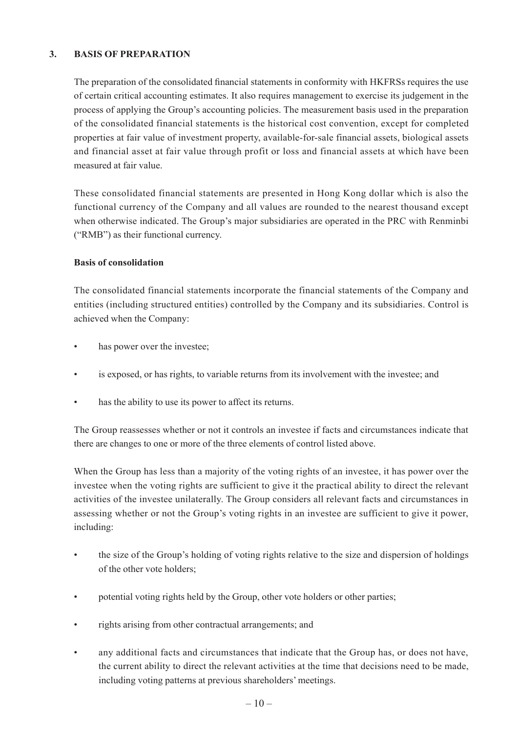#### **3. Basis of Preparation**

The preparation of the consolidated financial statements in conformity with HKFRSs requires the use of certain critical accounting estimates. It also requires management to exercise its judgement in the process of applying the Group's accounting policies. The measurement basis used in the preparation of the consolidated financial statements is the historical cost convention, except for completed properties at fair value of investment property, available-for-sale financial assets, biological assets and financial asset at fair value through profit or loss and financial assets at which have been measured at fair value.

These consolidated financial statements are presented in Hong Kong dollar which is also the functional currency of the Company and all values are rounded to the nearest thousand except when otherwise indicated. The Group's major subsidiaries are operated in the PRC with Renminbi ("RMB") as their functional currency.

#### **Basis of consolidation**

The consolidated financial statements incorporate the financial statements of the Company and entities (including structured entities) controlled by the Company and its subsidiaries. Control is achieved when the Company:

- has power over the investee;
- is exposed, or has rights, to variable returns from its involvement with the investee; and
- has the ability to use its power to affect its returns.

The Group reassesses whether or not it controls an investee if facts and circumstances indicate that there are changes to one or more of the three elements of control listed above.

When the Group has less than a majority of the voting rights of an investee, it has power over the investee when the voting rights are sufficient to give it the practical ability to direct the relevant activities of the investee unilaterally. The Group considers all relevant facts and circumstances in assessing whether or not the Group's voting rights in an investee are sufficient to give it power, including:

- the size of the Group's holding of voting rights relative to the size and dispersion of holdings of the other vote holders;
- potential voting rights held by the Group, other vote holders or other parties;
- rights arising from other contractual arrangements; and
- any additional facts and circumstances that indicate that the Group has, or does not have, the current ability to direct the relevant activities at the time that decisions need to be made, including voting patterns at previous shareholders'meetings.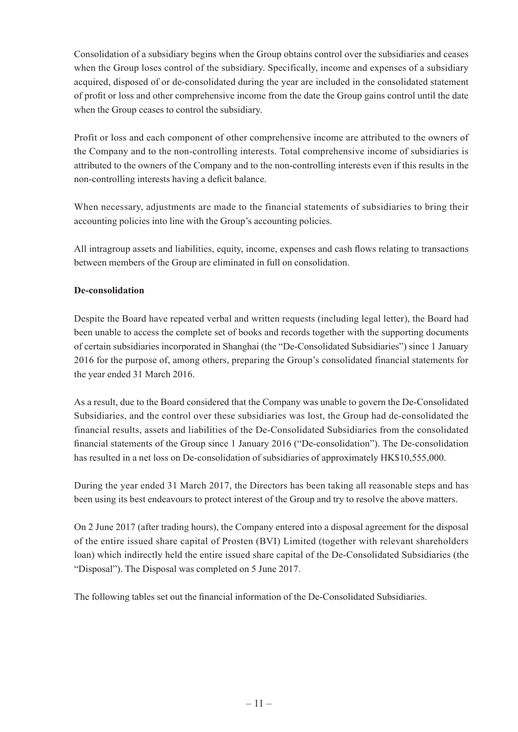Consolidation of a subsidiary begins when the Group obtains control over the subsidiaries and ceases when the Group loses control of the subsidiary. Specifically, income and expenses of a subsidiary acquired, disposed of or de-consolidated during the year are included in the consolidated statement of profit or loss and other comprehensive income from the date the Group gains control until the date when the Group ceases to control the subsidiary.

Profit or loss and each component of other comprehensive income are attributed to the owners of the Company and to the non-controlling interests. Total comprehensive income of subsidiaries is attributed to the owners of the Company and to the non-controlling interests even if this results in the non-controlling interests having a deficit balance.

When necessary, adjustments are made to the financial statements of subsidiaries to bring their accounting policies into line with the Group's accounting policies.

All intragroup assets and liabilities, equity, income, expenses and cash flows relating to transactions between members of the Group are eliminated in full on consolidation.

## **De-consolidation**

Despite the Board have repeated verbal and written requests (including legal letter), the Board had been unable to access the complete set of books and records together with the supporting documents of certain subsidiaries incorporated in Shanghai (the "De-Consolidated Subsidiaries") since 1 January 2016 for the purpose of, among others, preparing the Group's consolidated financial statements for the year ended 31 March 2016.

As a result, due to the Board considered that the Company was unable to govern the De-Consolidated Subsidiaries, and the control over these subsidiaries was lost, the Group had de-consolidated the financial results, assets and liabilities of the De-Consolidated Subsidiaries from the consolidated financial statements of the Group since 1 January 2016 ("De-consolidation"). The De-consolidation has resulted in a net loss on De-consolidation of subsidiaries of approximately HK\$10,555,000.

During the year ended 31 March 2017, the Directors has been taking all reasonable steps and has been using its best endeavours to protect interest of the Group and try to resolve the above matters.

On 2 June 2017 (after trading hours), the Company entered into a disposal agreement for the disposal of the entire issued share capital of Prosten (BVI) Limited (together with relevant shareholders loan) which indirectly held the entire issued share capital of the De-Consolidated Subsidiaries (the "Disposal"). The Disposal was completed on 5 June 2017.

The following tables set out the financial information of the De-Consolidated Subsidiaries.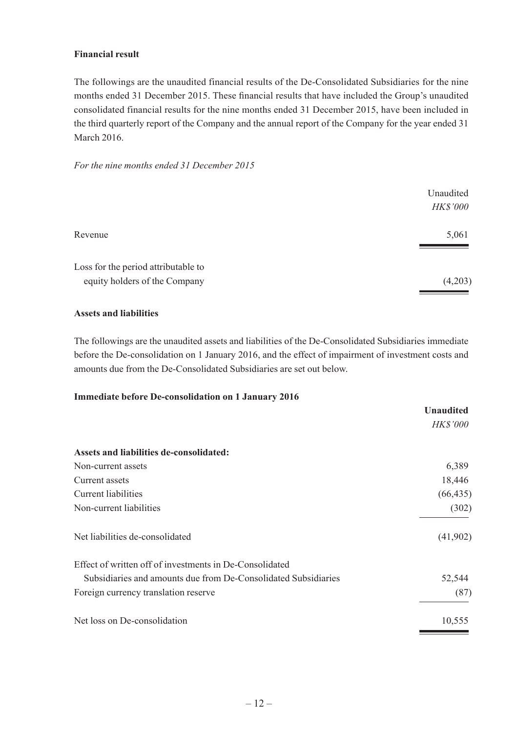#### **Financial result**

The followings are the unaudited financial results of the De-Consolidated Subsidiaries for the nine months ended 31 December 2015. These financial results that have included the Group's unaudited consolidated financial results for the nine months ended 31 December 2015, have been included in the third quarterly report of the Company and the annual report of the Company for the year ended 31 March 2016.

#### *For the nine months ended 31 December 2015*

| 5,061   |
|---------|
| (4,203) |
|         |

#### **Assets and liabilities**

The followings are the unaudited assets and liabilities of the De-Consolidated Subsidiaries immediate before the De-consolidation on 1 January 2016, and the effect of impairment of investment costs and amounts due from the De-Consolidated Subsidiaries are set out below.

#### **Immediate before De-consolidation on 1 January 2016**

|                                                                | <b>Unaudited</b> |
|----------------------------------------------------------------|------------------|
|                                                                | <b>HK\$'000</b>  |
| Assets and liabilities de-consolidated:                        |                  |
| Non-current assets                                             | 6,389            |
| Current assets                                                 | 18,446           |
| Current liabilities                                            | (66, 435)        |
| Non-current liabilities                                        | (302)            |
| Net liabilities de-consolidated                                | (41,902)         |
| Effect of written off of investments in De-Consolidated        |                  |
| Subsidiaries and amounts due from De-Consolidated Subsidiaries | 52,544           |
| Foreign currency translation reserve                           | (87)             |
| Net loss on De-consolidation                                   | 10,555           |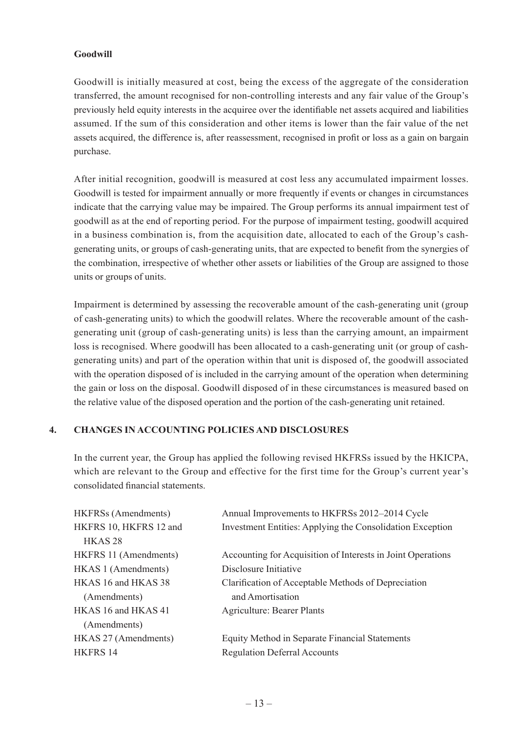#### **Goodwill**

Goodwill is initially measured at cost, being the excess of the aggregate of the consideration transferred, the amount recognised for non-controlling interests and any fair value of the Group's previously held equity interests in the acquiree over the identifiable net assets acquired and liabilities assumed. If the sum of this consideration and other items is lower than the fair value of the net assets acquired, the difference is, after reassessment, recognised in profit or loss as a gain on bargain purchase.

After initial recognition, goodwill is measured at cost less any accumulated impairment losses. Goodwill is tested for impairment annually or more frequently if events or changes in circumstances indicate that the carrying value may be impaired. The Group performs its annual impairment test of goodwill as at the end of reporting period. For the purpose of impairment testing, goodwill acquired in a business combination is, from the acquisition date, allocated to each of the Group's cashgenerating units, or groups of cash-generating units, that are expected to benefit from the synergies of the combination, irrespective of whether other assets or liabilities of the Group are assigned to those units or groups of units.

Impairment is determined by assessing the recoverable amount of the cash-generating unit (group of cash-generating units) to which the goodwill relates. Where the recoverable amount of the cashgenerating unit (group of cash-generating units) is less than the carrying amount, an impairment loss is recognised. Where goodwill has been allocated to a cash-generating unit (or group of cashgenerating units) and part of the operation within that unit is disposed of, the goodwill associated with the operation disposed of is included in the carrying amount of the operation when determining the gain or loss on the disposal. Goodwill disposed of in these circumstances is measured based on the relative value of the disposed operation and the portion of the cash-generating unit retained.

## **4. Changes in Accounting Policies and Disclosures**

In the current year, the Group has applied the following revised HKFRSs issued by the HKICPA, which are relevant to the Group and effective for the first time for the Group's current year's consolidated financial statements.

| <b>HKFRSs</b> (Amendments) | Annual Improvements to HKFRSs 2012-2014 Cycle               |
|----------------------------|-------------------------------------------------------------|
| HKFRS 10, HKFRS 12 and     | Investment Entities: Applying the Consolidation Exception   |
| HKAS <sub>28</sub>         |                                                             |
| HKFRS 11 (Amendments)      | Accounting for Acquisition of Interests in Joint Operations |
| HKAS 1 (Amendments)        | Disclosure Initiative                                       |
| HKAS 16 and HKAS 38        | Clarification of Acceptable Methods of Depreciation         |
| (Amendments)               | and Amortisation                                            |
| HKAS 16 and HKAS 41        | <b>Agriculture: Bearer Plants</b>                           |
| (Amendments)               |                                                             |
| HKAS 27 (Amendments)       | Equity Method in Separate Financial Statements              |
| <b>HKFRS 14</b>            | <b>Regulation Deferral Accounts</b>                         |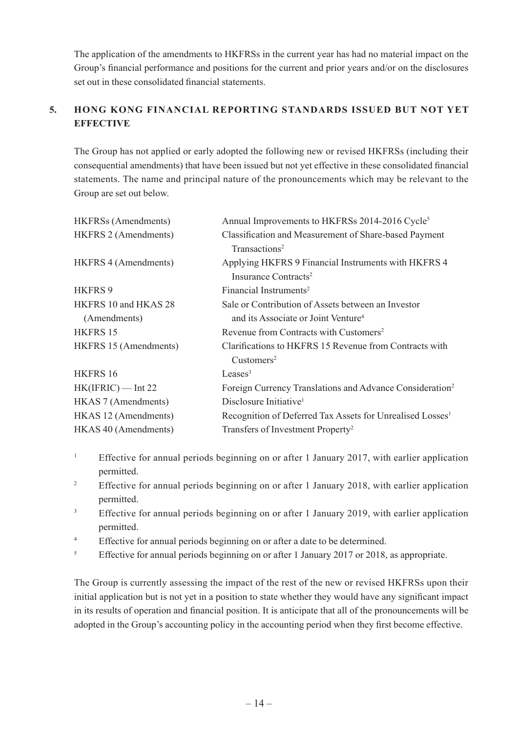The application of the amendments to HKFRSs in the current year has had no material impact on the Group's financial performance and positions for the current and prior years and/or on the disclosures set out in these consolidated financial statements.

# **5. Hong Kong Financial Reporting Standards Issued But Not Yet Effective**

The Group has not applied or early adopted the following new or revised HKFRSs (including their consequential amendments) that have been issued but not yet effective in these consolidated financial statements. The name and principal nature of the pronouncements which may be relevant to the Group are set out below.

| <b>HKFRSs</b> (Amendments)  | Annual Improvements to HKFRSs 2014-2016 Cycle <sup>5</sup>            |
|-----------------------------|-----------------------------------------------------------------------|
| <b>HKFRS 2 (Amendments)</b> | Classification and Measurement of Share-based Payment                 |
|                             | Transactions <sup>2</sup>                                             |
| HKFRS 4 (Amendments)        | Applying HKFRS 9 Financial Instruments with HKFRS 4                   |
|                             | Insurance Contracts <sup>2</sup>                                      |
| HKFRS 9                     | Financial Instruments <sup>2</sup>                                    |
| HKFRS 10 and HKAS 28        | Sale or Contribution of Assets between an Investor                    |
| (Amendments)                | and its Associate or Joint Venture <sup>4</sup>                       |
| <b>HKFRS 15</b>             | Revenue from Contracts with Customers <sup>2</sup>                    |
| HKFRS 15 (Amendments)       | Clarifications to HKFRS 15 Revenue from Contracts with                |
|                             | Customers <sup>2</sup>                                                |
| HKFRS 16                    | Leases <sup>3</sup>                                                   |
| $HK(IFRIC)$ — Int 22        | Foreign Currency Translations and Advance Consideration <sup>2</sup>  |
| HKAS 7 (Amendments)         | Disclosure Initiative <sup>1</sup>                                    |
| HKAS 12 (Amendments)        | Recognition of Deferred Tax Assets for Unrealised Losses <sup>1</sup> |
| HKAS 40 (Amendments)        | Transfers of Investment Property <sup>2</sup>                         |

- 1 Effective for annual periods beginning on or after 1 January 2017, with earlier application permitted.
- 2 Effective for annual periods beginning on or after 1 January 2018, with earlier application permitted.
- 3 Effective for annual periods beginning on or after 1 January 2019, with earlier application permitted.
- 4 Effective for annual periods beginning on or after a date to be determined.
- 5 Effective for annual periods beginning on or after 1 January 2017 or 2018, as appropriate.

The Group is currently assessing the impact of the rest of the new or revised HKFRSs upon their initial application but is not yet in a position to state whether they would have any significant impact in its results of operation and financial position. It is anticipate that all of the pronouncements will be adopted in the Group's accounting policy in the accounting period when they first become effective.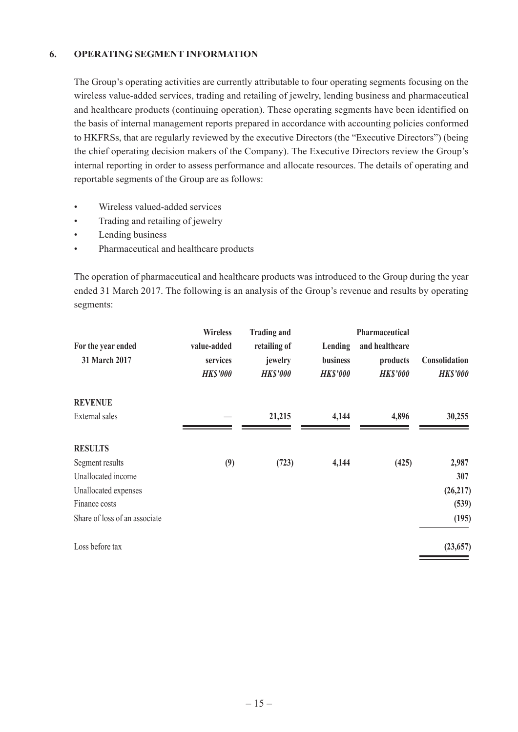#### **6. Operating Segment Information**

The Group's operating activities are currently attributable to four operating segments focusing on the wireless value-added services, trading and retailing of jewelry, lending business and pharmaceutical and healthcare products (continuing operation). These operating segments have been identified on the basis of internal management reports prepared in accordance with accounting policies conformed to HKFRSs, that are regularly reviewed by the executive Directors (the "Executive Directors") (being the chief operating decision makers of the Company). The Executive Directors review the Group's internal reporting in order to assess performance and allocate resources. The details of operating and reportable segments of the Group are as follows:

- • Wireless valued-added services
- Trading and retailing of jewelry
- Lending business
- • Pharmaceutical and healthcare products

The operation of pharmaceutical and healthcare products was introduced to the Group during the year ended 31 March 2017. The following is an analysis of the Group's revenue and results by operating segments:

|                                     | <b>Wireless</b>                            | <b>Trading and</b>                         |                                        | Pharmaceutical                                |                                  |
|-------------------------------------|--------------------------------------------|--------------------------------------------|----------------------------------------|-----------------------------------------------|----------------------------------|
| For the year ended<br>31 March 2017 | value-added<br>services<br><b>HK\$'000</b> | retailing of<br>jewelry<br><b>HK\$'000</b> | Lending<br>business<br><b>HK\$'000</b> | and healthcare<br>products<br><b>HK\$'000</b> | Consolidation<br><b>HK\$'000</b> |
| <b>REVENUE</b>                      |                                            |                                            |                                        |                                               |                                  |
| External sales                      |                                            | 21,215                                     | 4,144                                  | 4,896                                         | 30,255                           |
| <b>RESULTS</b>                      |                                            |                                            |                                        |                                               |                                  |
| Segment results                     | (9)                                        | (723)                                      | 4,144                                  | (425)                                         | 2,987                            |
| Unallocated income                  |                                            |                                            |                                        |                                               | 307                              |
| Unallocated expenses                |                                            |                                            |                                        |                                               | (26, 217)                        |
| Finance costs                       |                                            |                                            |                                        |                                               | (539)                            |
| Share of loss of an associate       |                                            |                                            |                                        |                                               | (195)                            |
| Loss before tax                     |                                            |                                            |                                        |                                               | (23, 657)                        |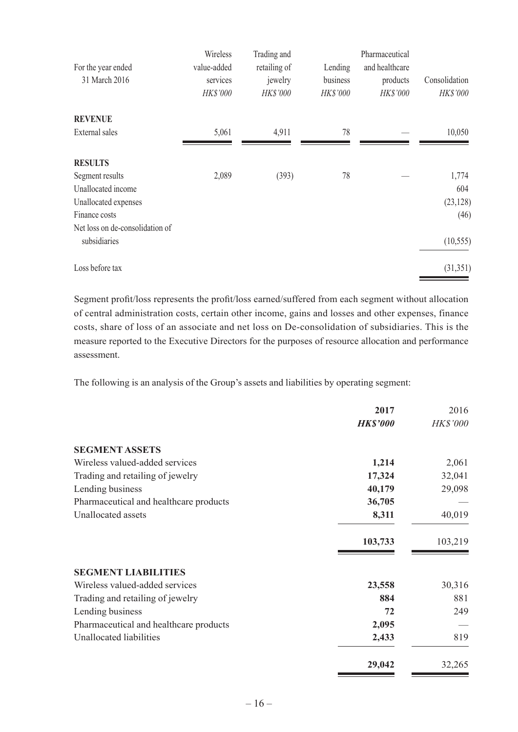|                                 | Wireless    | Trading and  |          | Pharmaceutical |               |
|---------------------------------|-------------|--------------|----------|----------------|---------------|
| For the year ended              | value-added | retailing of | Lending  | and healthcare |               |
| 31 March 2016                   | services    | jewelry      | business | products       | Consolidation |
|                                 | HK\$'000    | HK\$'000     | HK\$'000 | HK\$'000       | HK\$'000      |
| <b>REVENUE</b>                  |             |              |          |                |               |
| <b>External</b> sales           | 5,061       | 4,911        | 78       |                | 10,050        |
| <b>RESULTS</b>                  |             |              |          |                |               |
| Segment results                 | 2,089       | (393)        | 78       |                | 1,774         |
| Unallocated income              |             |              |          |                | 604           |
| Unallocated expenses            |             |              |          |                | (23, 128)     |
| Finance costs                   |             |              |          |                | (46)          |
| Net loss on de-consolidation of |             |              |          |                |               |
| subsidiaries                    |             |              |          |                | (10, 555)     |
| Loss before tax                 |             |              |          |                | (31, 351)     |

Segment profit/loss represents the profit/loss earned/suffered from each segment without allocation of central administration costs, certain other income, gains and losses and other expenses, finance costs, share of loss of an associate and net loss on De-consolidation of subsidiaries. This is the measure reported to the Executive Directors for the purposes of resource allocation and performance assessment.

The following is an analysis of the Group's assets and liabilities by operating segment:

|                                        | 2017            | 2016     |
|----------------------------------------|-----------------|----------|
|                                        | <b>HK\$'000</b> | HK\$'000 |
| <b>SEGMENT ASSETS</b>                  |                 |          |
| Wireless valued-added services         | 1,214           | 2,061    |
| Trading and retailing of jewelry       | 17,324          | 32,041   |
| Lending business                       | 40,179          | 29,098   |
| Pharmaceutical and healthcare products | 36,705          |          |
| <b>Unallocated</b> assets              | 8,311           | 40,019   |
|                                        | 103,733         | 103,219  |
| <b>SEGMENT LIABILITIES</b>             |                 |          |
| Wireless valued-added services         | 23,558          | 30,316   |
| Trading and retailing of jewelry       | 884             | 881      |
| Lending business                       | 72              | 249      |
| Pharmaceutical and healthcare products | 2,095           |          |
| Unallocated liabilities                | 2,433           | 819      |
|                                        | 29,042          | 32,265   |

<u> The Communication of the Communication of the Communication of the Communication of the Communication of the Communication of the Communication of the Communication of the Communication of the Communication of the Commun</u>

the control of the control of the control of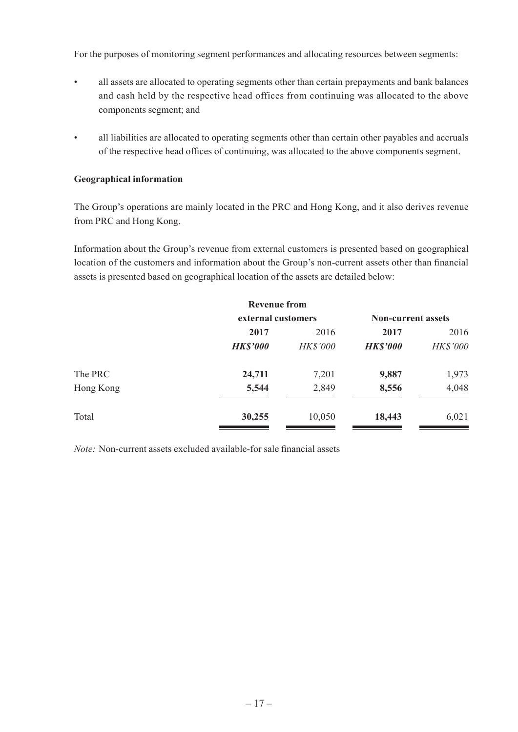For the purposes of monitoring segment performances and allocating resources between segments:

- • all assets are allocated to operating segments other than certain prepayments and bank balances and cash held by the respective head offices from continuing was allocated to the above components segment; and
- all liabilities are allocated to operating segments other than certain other payables and accruals of the respective head offices of continuing, was allocated to the above components segment.

#### **Geographical information**

The Group's operations are mainly located in the PRC and Hong Kong, and it also derives revenue from PRC and Hong Kong.

Information about the Group's revenue from external customers is presented based on geographical location of the customers and information about the Group's non-current assets other than financial assets is presented based on geographical location of the assets are detailed below:

|           | <b>Revenue from</b> |                 |                           |          |
|-----------|---------------------|-----------------|---------------------------|----------|
|           | external customers  |                 | <b>Non-current assets</b> |          |
|           | 2017                | 2016            | 2017                      | 2016     |
|           | <b>HK\$'000</b>     | <b>HK\$'000</b> | <b>HK\$'000</b>           | HK\$'000 |
| The PRC   | 24,711              | 7,201           | 9,887                     | 1,973    |
| Hong Kong | 5,544               | 2,849           | 8,556                     | 4,048    |
| Total     | 30,255              | 10,050          | 18,443                    | 6,021    |

*Note:* Non-current assets excluded available-for sale financial assets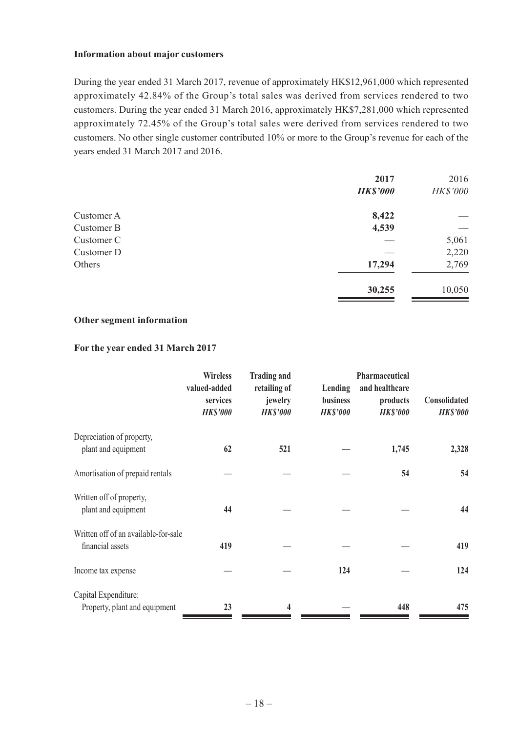#### **Information about major customers**

During the year ended 31 March 2017, revenue of approximately HK\$12,961,000 which represented approximately 42.84% of the Group's total sales was derived from services rendered to two customers. During the year ended 31 March 2016, approximately HK\$7,281,000 which represented approximately 72.45% of the Group's total sales were derived from services rendered to two customers. No other single customer contributed 10% or more to the Group's revenue for each of the years ended 31 March 2017 and 2016.

|            | 2017<br><b>HK\$'000</b> | 2016<br>HK\$'000 |
|------------|-------------------------|------------------|
|            |                         |                  |
| Customer A | 8,422                   |                  |
| Customer B | 4,539                   |                  |
| Customer C |                         | 5,061            |
| Customer D |                         | 2,220            |
| Others     | 17,294                  | 2,769            |
|            | 30,255                  | 10,050           |

#### **Other segment information**

#### **For the year ended 31 March 2017**

|                                      | <b>Wireless</b><br>valued-added<br>services<br><b>HK\$'000</b> | <b>Trading and</b><br>retailing of<br>jewelry<br><b>HK\$'000</b> | Lending<br><b>business</b><br><b>HK\$'000</b> | <b>Pharmaceutical</b><br>and healthcare<br>products<br><b>HK\$'000</b> | Consolidated<br><b>HK\$'000</b> |
|--------------------------------------|----------------------------------------------------------------|------------------------------------------------------------------|-----------------------------------------------|------------------------------------------------------------------------|---------------------------------|
| Depreciation of property,            |                                                                |                                                                  |                                               |                                                                        |                                 |
| plant and equipment                  | 62                                                             | 521                                                              |                                               | 1,745                                                                  | 2,328                           |
| Amortisation of prepaid rentals      |                                                                |                                                                  |                                               | 54                                                                     | 54                              |
| Written off of property,             |                                                                |                                                                  |                                               |                                                                        |                                 |
| plant and equipment                  | 44                                                             |                                                                  |                                               |                                                                        | 44                              |
| Written off of an available-for-sale |                                                                |                                                                  |                                               |                                                                        |                                 |
| financial assets                     | 419                                                            |                                                                  |                                               |                                                                        | 419                             |
| Income tax expense                   |                                                                |                                                                  | 124                                           |                                                                        | 124                             |
| Capital Expenditure:                 |                                                                |                                                                  |                                               |                                                                        |                                 |
| Property, plant and equipment        | 23                                                             | 4                                                                |                                               | 448                                                                    | 475                             |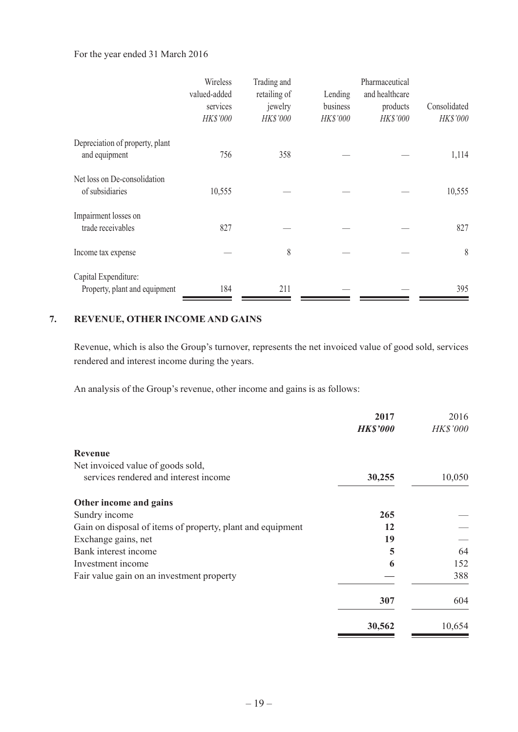#### For the year ended 31 March 2016

|                                 | Wireless     | Trading and  |          | Pharmaceutical |              |
|---------------------------------|--------------|--------------|----------|----------------|--------------|
|                                 | valued-added | retailing of | Lending  | and healthcare |              |
|                                 | services     | jewelry      | business | products       | Consolidated |
|                                 | HK\$'000     | HK\$'000     | HK\$'000 | HK\$'000       | HK\$'000     |
| Depreciation of property, plant |              |              |          |                |              |
| and equipment                   | 756          | 358          |          |                | 1,114        |
| Net loss on De-consolidation    |              |              |          |                |              |
| of subsidiaries                 | 10,555       |              |          |                | 10,555       |
| Impairment losses on            |              |              |          |                |              |
| trade receivables               | 827          |              |          |                | 827          |
| Income tax expense              |              | 8            |          |                | 8            |
| Capital Expenditure:            |              |              |          |                |              |
| Property, plant and equipment   | 184          | 211          |          |                | 395          |

# **7. Revenue, Other Income and Gains**

Revenue, which is also the Group's turnover, represents the net invoiced value of good sold, services rendered and interest income during the years.

An analysis of the Group's revenue, other income and gains is as follows:

|                                                            | 2017<br><b>HK\$'000</b> | 2016<br>HK\$'000 |
|------------------------------------------------------------|-------------------------|------------------|
| Revenue                                                    |                         |                  |
| Net invoiced value of goods sold,                          |                         |                  |
| services rendered and interest income                      | 30,255                  | 10,050           |
| Other income and gains                                     |                         |                  |
| Sundry income                                              | 265                     |                  |
| Gain on disposal of items of property, plant and equipment | 12                      |                  |
| Exchange gains, net                                        | 19                      |                  |
| Bank interest income                                       | 5                       | 64               |
| Investment income                                          | 6                       | 152              |
| Fair value gain on an investment property                  |                         | 388              |
|                                                            | 307                     | 604              |
|                                                            | 30,562                  | 10,654           |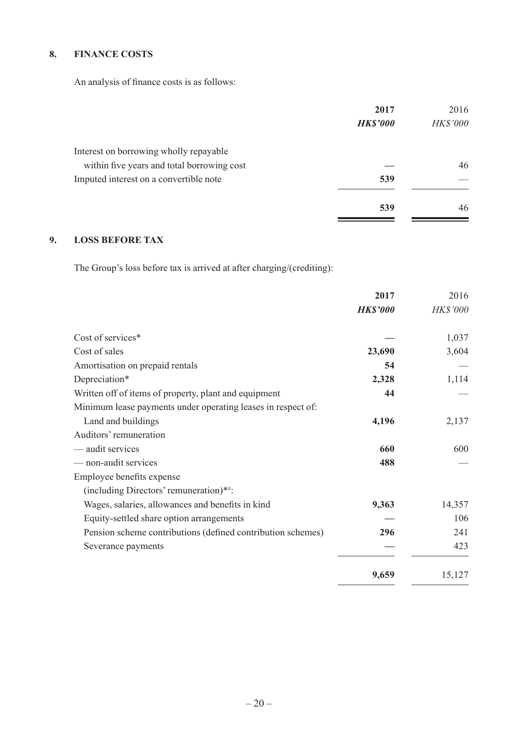# **8. Finance Costs**

An analysis of finance costs is as follows:

|                                            | 2017            | 2016     |
|--------------------------------------------|-----------------|----------|
|                                            | <b>HK\$'000</b> | HK\$'000 |
| Interest on borrowing wholly repayable     |                 |          |
| within five years and total borrowing cost |                 | 46       |
| Imputed interest on a convertible note     | 539             |          |
|                                            | 539             | 46       |

# **9. Loss Before Tax**

The Group's loss before tax is arrived at after charging/(crediting):

|                                                              | 2017            | 2016     |
|--------------------------------------------------------------|-----------------|----------|
|                                                              | <b>HK\$'000</b> | HK\$'000 |
| Cost of services*                                            |                 | 1,037    |
| Cost of sales                                                | 23,690          | 3,604    |
| Amortisation on prepaid rentals                              | 54              |          |
| Depreciation*                                                | 2,328           | 1,114    |
| Written off of items of property, plant and equipment        | 44              |          |
| Minimum lease payments under operating leases in respect of: |                 |          |
| Land and buildings                                           | 4,196           | 2,137    |
| Auditors' remuneration                                       |                 |          |
| — audit services                                             | 660             | 600      |
| - non-audit services                                         | 488             |          |
| Employee benefits expense                                    |                 |          |
| (including Directors' remuneration)**:                       |                 |          |
| Wages, salaries, allowances and benefits in kind             | 9,363           | 14,357   |
| Equity-settled share option arrangements                     |                 | 106      |
| Pension scheme contributions (defined contribution schemes)  | 296             | 241      |
| Severance payments                                           |                 | 423      |
|                                                              | 9,659           | 15,127   |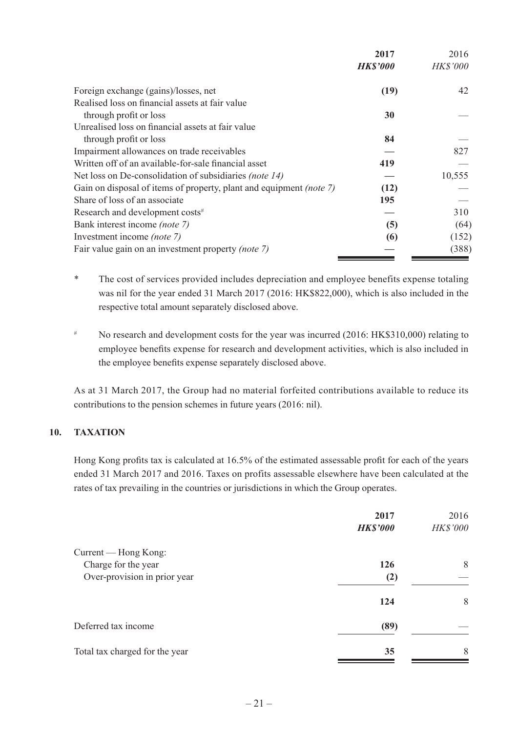|                                                                            | 2017            | 2016            |
|----------------------------------------------------------------------------|-----------------|-----------------|
|                                                                            | <b>HK\$'000</b> | <b>HK\$'000</b> |
| Foreign exchange (gains)/losses, net                                       | (19)            | 42              |
| Realised loss on financial assets at fair value                            |                 |                 |
| through profit or loss                                                     | 30              |                 |
| Unrealised loss on financial assets at fair value                          |                 |                 |
| through profit or loss                                                     | 84              |                 |
| Impairment allowances on trade receivables                                 |                 | 827             |
| Written off of an available-for-sale financial asset                       | 419             |                 |
| Net loss on De-consolidation of subsidiaries <i>(note 14)</i>              |                 | 10,555          |
| Gain on disposal of items of property, plant and equipment <i>(note 7)</i> | (12)            |                 |
| Share of loss of an associate                                              | 195             |                 |
| Research and development costs <sup>#</sup>                                |                 | 310             |
| Bank interest income (note 7)                                              | (5)             | (64)            |
| Investment income <i>(note 7)</i>                                          | (6)             | (152)           |
| Fair value gain on an investment property (note 7)                         |                 | (388)           |
|                                                                            |                 |                 |

\* The cost of services provided includes depreciation and employee benefits expense totaling was nil for the year ended 31 March 2017 (2016: HK\$822,000), which is also included in the respective total amount separately disclosed above.

# No research and development costs for the year was incurred (2016: HK\$310,000) relating to employee benefits expense for research and development activities, which is also included in the employee benefits expense separately disclosed above.

As at 31 March 2017, the Group had no material forfeited contributions available to reduce its contributions to the pension schemes in future years (2016: nil).

## **10. TAXATION**

Hong Kong profits tax is calculated at 16.5% of the estimated assessable profit for each of the years ended 31 March 2017 and 2016. Taxes on profits assessable elsewhere have been calculated at the rates of tax prevailing in the countries or jurisdictions in which the Group operates.

| 2017            | 2016     |
|-----------------|----------|
| <b>HK\$'000</b> | HK\$'000 |
|                 |          |
| 126             | 8        |
| (2)             |          |
| 124             | 8        |
| (89)            |          |
| 35              | 8        |
|                 |          |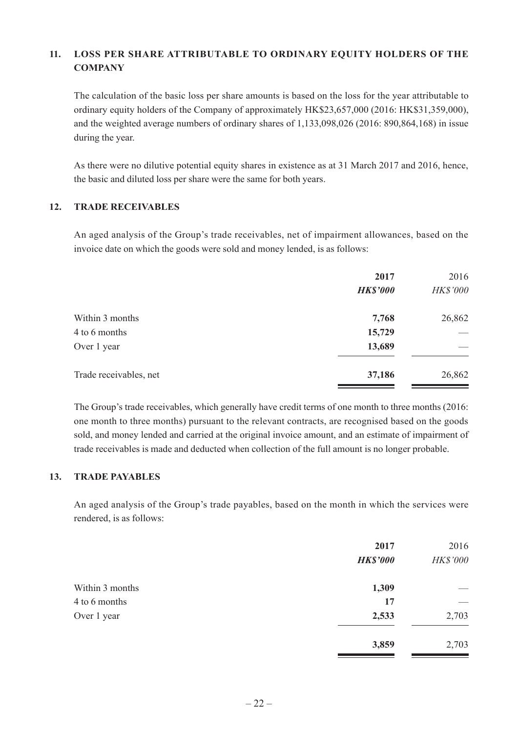## **11. Loss Per Share Attributable to Ordinary Equity Holders of the Company**

The calculation of the basic loss per share amounts is based on the loss for the year attributable to ordinary equity holders of the Company of approximately HK\$23,657,000 (2016: HK\$31,359,000), and the weighted average numbers of ordinary shares of 1,133,098,026 (2016: 890,864,168) in issue during the year.

As there were no dilutive potential equity shares in existence as at 31 March 2017 and 2016, hence, the basic and diluted loss per share were the same for both years.

#### **12. Trade Receivables**

An aged analysis of the Group's trade receivables, net of impairment allowances, based on the invoice date on which the goods were sold and money lended, is as follows:

|                        | 2017<br><b>HK\$'000</b> | 2016<br>HK\$'000 |
|------------------------|-------------------------|------------------|
| Within 3 months        | 7,768                   | 26,862           |
| 4 to 6 months          | 15,729                  |                  |
| Over 1 year            | 13,689                  |                  |
| Trade receivables, net | 37,186                  | 26,862           |

The Group's trade receivables, which generally have credit terms of one month to three months (2016: one month to three months) pursuant to the relevant contracts, are recognised based on the goods sold, and money lended and carried at the original invoice amount, and an estimate of impairment of trade receivables is made and deducted when collection of the full amount is no longer probable.

#### **13. Trade Payables**

An aged analysis of the Group's trade payables, based on the month in which the services were rendered, is as follows:

|                 | 2017            | 2016     |
|-----------------|-----------------|----------|
|                 | <b>HK\$'000</b> | HK\$'000 |
| Within 3 months | 1,309           |          |
| 4 to 6 months   | 17              |          |
| Over 1 year     | 2,533           | 2,703    |
|                 | 3,859           | 2,703    |
|                 |                 |          |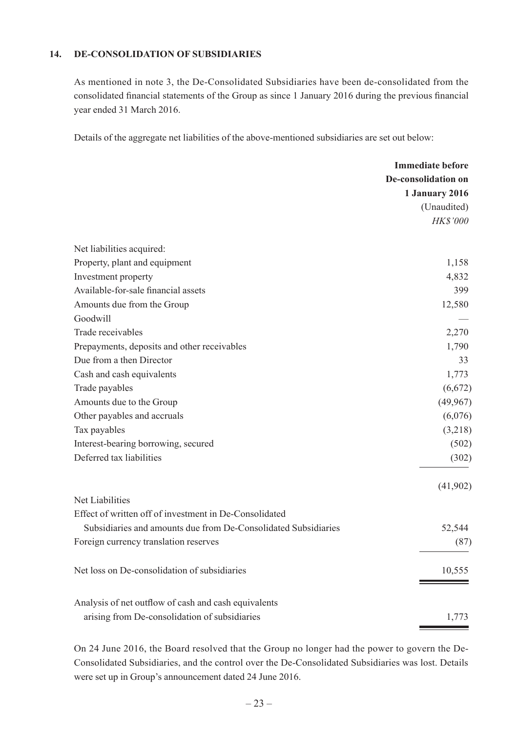#### **14. DE-CONSOLIDATION OF SUBSIDIARIES**

As mentioned in note 3, the De-Consolidated Subsidiaries have been de-consolidated from the consolidated financial statements of the Group as since 1 January 2016 during the previous financial year ended 31 March 2016.

Details of the aggregate net liabilities of the above-mentioned subsidiaries are set out below:

|                                                                | <b>Immediate before</b>    |
|----------------------------------------------------------------|----------------------------|
|                                                                | <b>De-consolidation on</b> |
|                                                                | 1 January 2016             |
|                                                                | (Unaudited)                |
|                                                                | HK\$'000                   |
| Net liabilities acquired:                                      |                            |
| Property, plant and equipment                                  | 1,158                      |
| Investment property                                            | 4,832                      |
| Available-for-sale financial assets                            | 399                        |
| Amounts due from the Group                                     | 12,580                     |
| Goodwill                                                       |                            |
| Trade receivables                                              | 2,270                      |
| Prepayments, deposits and other receivables                    | 1,790                      |
| Due from a then Director                                       | 33                         |
| Cash and cash equivalents                                      | 1,773                      |
| Trade payables                                                 | (6,672)                    |
| Amounts due to the Group                                       | (49, 967)                  |
| Other payables and accruals                                    | (6,076)                    |
| Tax payables                                                   | (3,218)                    |
| Interest-bearing borrowing, secured                            | (502)                      |
| Deferred tax liabilities                                       | (302)                      |
|                                                                | (41,902)                   |
| Net Liabilities                                                |                            |
| Effect of written off of investment in De-Consolidated         |                            |
| Subsidiaries and amounts due from De-Consolidated Subsidiaries | 52,544                     |
| Foreign currency translation reserves                          | (87)                       |
| Net loss on De-consolidation of subsidiaries                   | 10,555                     |
| Analysis of net outflow of cash and cash equivalents           |                            |
| arising from De-consolidation of subsidiaries                  | 1,773                      |

On 24 June 2016, the Board resolved that the Group no longer had the power to govern the De-Consolidated Subsidiaries, and the control over the De-Consolidated Subsidiaries was lost. Details were set up in Group's announcement dated 24 June 2016.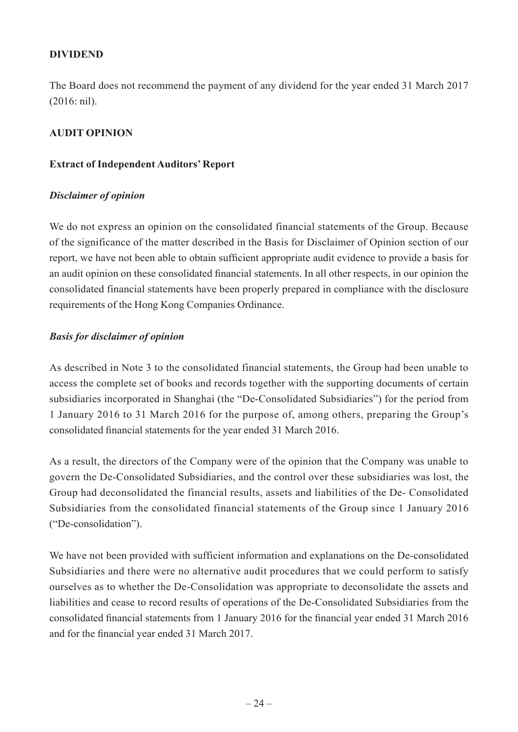## **DIVIDEND**

The Board does not recommend the payment of any dividend for the year ended 31 March 2017 (2016: nil).

## **AUDIT OPINION**

## **Extract of Independent Auditors' Report**

## *Disclaimer of opinion*

We do not express an opinion on the consolidated financial statements of the Group. Because of the significance of the matter described in the Basis for Disclaimer of Opinion section of our report, we have not been able to obtain sufficient appropriate audit evidence to provide a basis for an audit opinion on these consolidated financial statements. In all other respects, in our opinion the consolidated financial statements have been properly prepared in compliance with the disclosure requirements of the Hong Kong Companies Ordinance.

## *Basis for disclaimer of opinion*

As described in Note 3 to the consolidated financial statements, the Group had been unable to access the complete set of books and records together with the supporting documents of certain subsidiaries incorporated in Shanghai (the "De-Consolidated Subsidiaries") for the period from 1 January 2016 to 31 March 2016 for the purpose of, among others, preparing the Group's consolidated financial statements for the year ended 31 March 2016.

As a result, the directors of the Company were of the opinion that the Company was unable to govern the De-Consolidated Subsidiaries, and the control over these subsidiaries was lost, the Group had deconsolidated the financial results, assets and liabilities of the De- Consolidated Subsidiaries from the consolidated financial statements of the Group since 1 January 2016 ("De-consolidation").

We have not been provided with sufficient information and explanations on the De-consolidated Subsidiaries and there were no alternative audit procedures that we could perform to satisfy ourselves as to whether the De-Consolidation was appropriate to deconsolidate the assets and liabilities and cease to record results of operations of the De-Consolidated Subsidiaries from the consolidated financial statements from 1 January 2016 for the financial year ended 31 March 2016 and for the financial year ended 31 March 2017.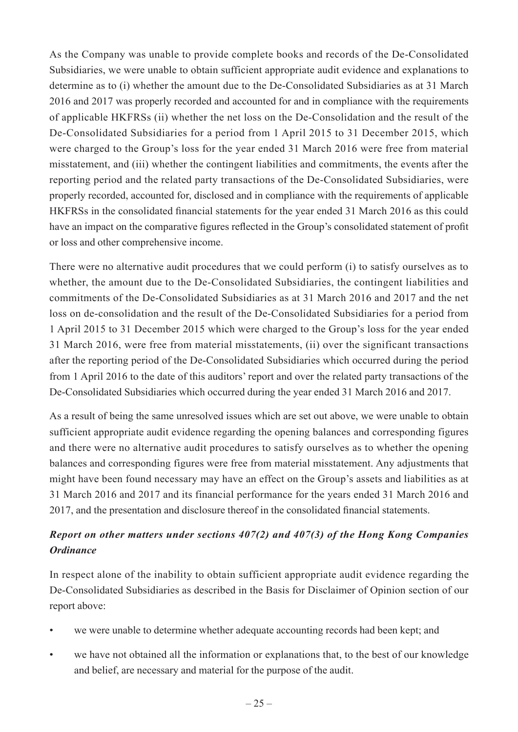As the Company was unable to provide complete books and records of the De-Consolidated Subsidiaries, we were unable to obtain sufficient appropriate audit evidence and explanations to determine as to (i) whether the amount due to the De-Consolidated Subsidiaries as at 31 March 2016 and 2017 was properly recorded and accounted for and in compliance with the requirements of applicable HKFRSs (ii) whether the net loss on the De-Consolidation and the result of the De-Consolidated Subsidiaries for a period from 1 April 2015 to 31 December 2015, which were charged to the Group's loss for the year ended 31 March 2016 were free from material misstatement, and (iii) whether the contingent liabilities and commitments, the events after the reporting period and the related party transactions of the De-Consolidated Subsidiaries, were properly recorded, accounted for, disclosed and in compliance with the requirements of applicable HKFRSs in the consolidated financial statements for the year ended 31 March 2016 as this could have an impact on the comparative figures reflected in the Group's consolidated statement of profit or loss and other comprehensive income.

There were no alternative audit procedures that we could perform (i) to satisfy ourselves as to whether, the amount due to the De-Consolidated Subsidiaries, the contingent liabilities and commitments of the De-Consolidated Subsidiaries as at 31 March 2016 and 2017 and the net loss on de-consolidation and the result of the De-Consolidated Subsidiaries for a period from 1 April 2015 to 31 December 2015 which were charged to the Group's loss for the year ended 31 March 2016, were free from material misstatements, (ii) over the significant transactions after the reporting period of the De-Consolidated Subsidiaries which occurred during the period from 1 April 2016 to the date of this auditors' report and over the related party transactions of the De-Consolidated Subsidiaries which occurred during the year ended 31 March 2016 and 2017.

As a result of being the same unresolved issues which are set out above, we were unable to obtain sufficient appropriate audit evidence regarding the opening balances and corresponding figures and there were no alternative audit procedures to satisfy ourselves as to whether the opening balances and corresponding figures were free from material misstatement. Any adjustments that might have been found necessary may have an effect on the Group's assets and liabilities as at 31 March 2016 and 2017 and its financial performance for the years ended 31 March 2016 and 2017, and the presentation and disclosure thereof in the consolidated financial statements.

# *Report on other matters under sections 407(2) and 407(3) of the Hong Kong Companies Ordinance*

In respect alone of the inability to obtain sufficient appropriate audit evidence regarding the De-Consolidated Subsidiaries as described in the Basis for Disclaimer of Opinion section of our report above:

- we were unable to determine whether adequate accounting records had been kept; and
- we have not obtained all the information or explanations that, to the best of our knowledge and belief, are necessary and material for the purpose of the audit.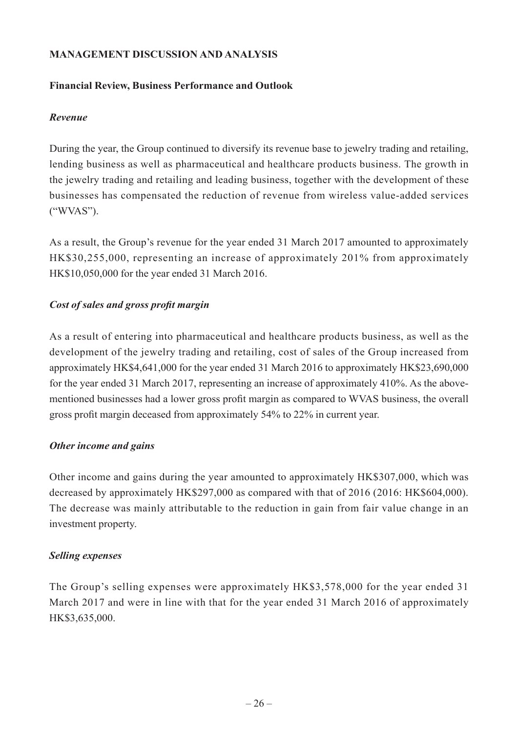## **MANAGEMENT DISCUSSION AND ANALYSIS**

## **Financial Review, Business Performance and Outlook**

## *Revenue*

During the year, the Group continued to diversify its revenue base to jewelry trading and retailing, lending business as well as pharmaceutical and healthcare products business. The growth in the jewelry trading and retailing and leading business, together with the development of these businesses has compensated the reduction of revenue from wireless value-added services ("WVAS").

As a result, the Group's revenue for the year ended 31 March 2017 amounted to approximately HK\$30,255,000, representing an increase of approximately 201% from approximately HK\$10,050,000 for the year ended 31 March 2016.

## *Cost of sales and gross profit margin*

As a result of entering into pharmaceutical and healthcare products business, as well as the development of the jewelry trading and retailing, cost of sales of the Group increased from approximately HK\$4,641,000 for the year ended 31 March 2016 to approximately HK\$23,690,000 for the year ended 31 March 2017, representing an increase of approximately 410%. As the abovementioned businesses had a lower gross profit margin as compared to WVAS business, the overall gross profit margin deceased from approximately 54% to 22% in current year.

## *Other income and gains*

Other income and gains during the year amounted to approximately HK\$307,000, which was decreased by approximately HK\$297,000 as compared with that of 2016 (2016: HK\$604,000). The decrease was mainly attributable to the reduction in gain from fair value change in an investment property.

## *Selling expenses*

The Group's selling expenses were approximately HK\$3,578,000 for the year ended 31 March 2017 and were in line with that for the year ended 31 March 2016 of approximately HK\$3,635,000.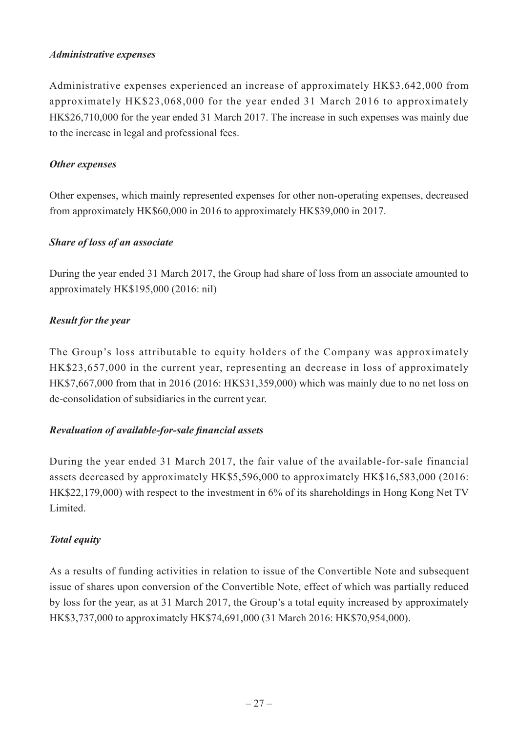## *Administrative expenses*

Administrative expenses experienced an increase of approximately HK\$3,642,000 from approximately HK\$23,068,000 for the year ended 31 March 2016 to approximately HK\$26,710,000 for the year ended 31 March 2017. The increase in such expenses was mainly due to the increase in legal and professional fees.

## *Other expenses*

Other expenses, which mainly represented expenses for other non-operating expenses, decreased from approximately HK\$60,000 in 2016 to approximately HK\$39,000 in 2017.

## *Share of loss of an associate*

During the year ended 31 March 2017, the Group had share of loss from an associate amounted to approximately HK\$195,000 (2016: nil)

## *Result for the year*

The Group's loss attributable to equity holders of the Company was approximately HK\$23,657,000 in the current year, representing an decrease in loss of approximately HK\$7,667,000 from that in 2016 (2016: HK\$31,359,000) which was mainly due to no net loss on de-consolidation of subsidiaries in the current year.

## *Revaluation of available-for-sale financial assets*

During the year ended 31 March 2017, the fair value of the available-for-sale financial assets decreased by approximately HK\$5,596,000 to approximately HK\$16,583,000 (2016: HK\$22,179,000) with respect to the investment in 6% of its shareholdings in Hong Kong Net TV Limited.

## *Total equity*

As a results of funding activities in relation to issue of the Convertible Note and subsequent issue of shares upon conversion of the Convertible Note, effect of which was partially reduced by loss for the year, as at 31 March 2017, the Group's a total equity increased by approximately HK\$3,737,000 to approximately HK\$74,691,000 (31 March 2016: HK\$70,954,000).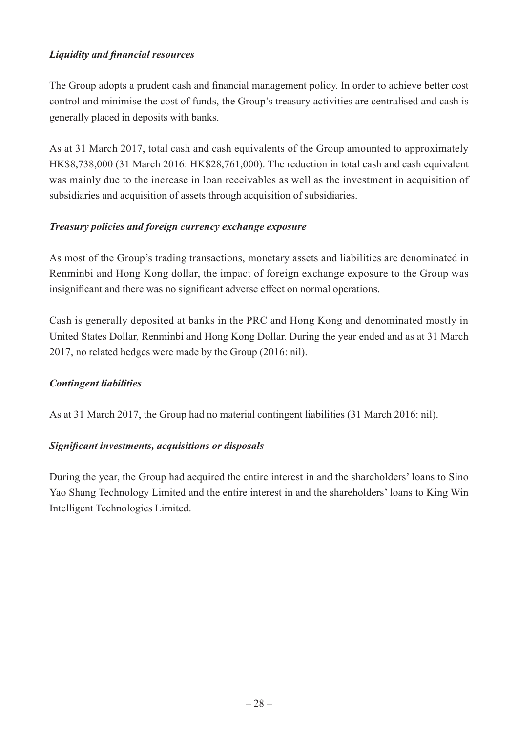# *Liquidity and financial resources*

The Group adopts a prudent cash and financial management policy. In order to achieve better cost control and minimise the cost of funds, the Group's treasury activities are centralised and cash is generally placed in deposits with banks.

As at 31 March 2017, total cash and cash equivalents of the Group amounted to approximately HK\$8,738,000 (31 March 2016: HK\$28,761,000). The reduction in total cash and cash equivalent was mainly due to the increase in loan receivables as well as the investment in acquisition of subsidiaries and acquisition of assets through acquisition of subsidiaries.

## *Treasury policies and foreign currency exchange exposure*

As most of the Group's trading transactions, monetary assets and liabilities are denominated in Renminbi and Hong Kong dollar, the impact of foreign exchange exposure to the Group was insignificant and there was no significant adverse effect on normal operations.

Cash is generally deposited at banks in the PRC and Hong Kong and denominated mostly in United States Dollar, Renminbi and Hong Kong Dollar. During the year ended and as at 31 March 2017, no related hedges were made by the Group (2016: nil).

## *Contingent liabilities*

As at 31 March 2017, the Group had no material contingent liabilities (31 March 2016: nil).

## *Significant investments, acquisitions or disposals*

During the year, the Group had acquired the entire interest in and the shareholders' loans to Sino Yao Shang Technology Limited and the entire interest in and the shareholders' loans to King Win Intelligent Technologies Limited.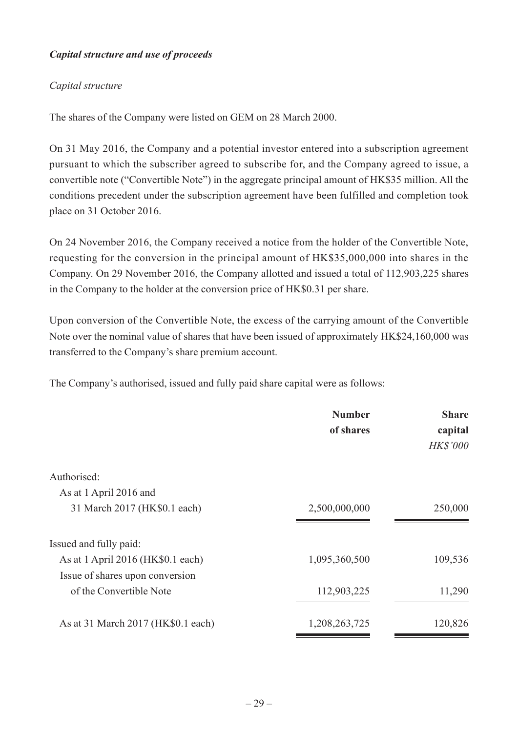# *Capital structure and use of proceeds*

# *Capital structure*

The shares of the Company were listed on GEM on 28 March 2000.

On 31 May 2016, the Company and a potential investor entered into a subscription agreement pursuant to which the subscriber agreed to subscribe for, and the Company agreed to issue, a convertible note ("Convertible Note") in the aggregate principal amount of HK\$35 million. All the conditions precedent under the subscription agreement have been fulfilled and completion took place on 31 October 2016.

On 24 November 2016, the Company received a notice from the holder of the Convertible Note, requesting for the conversion in the principal amount of HK\$35,000,000 into shares in the Company. On 29 November 2016, the Company allotted and issued a total of 112,903,225 shares in the Company to the holder at the conversion price of HK\$0.31 per share.

Upon conversion of the Convertible Note, the excess of the carrying amount of the Convertible Note over the nominal value of shares that have been issued of approximately HK\$24,160,000 was transferred to the Company's share premium account.

The Company's authorised, issued and fully paid share capital were as follows:

|                                    | <b>Number</b> | <b>Share</b>    |
|------------------------------------|---------------|-----------------|
|                                    | of shares     | capital         |
|                                    |               | <b>HK\$'000</b> |
| Authorised:                        |               |                 |
| As at 1 April 2016 and             |               |                 |
| 31 March 2017 (HK\$0.1 each)       | 2,500,000,000 | 250,000         |
| Issued and fully paid:             |               |                 |
| As at 1 April 2016 (HK\$0.1 each)  | 1,095,360,500 | 109,536         |
| Issue of shares upon conversion    |               |                 |
| of the Convertible Note            | 112,903,225   | 11,290          |
| As at 31 March 2017 (HK\$0.1 each) | 1,208,263,725 | 120,826         |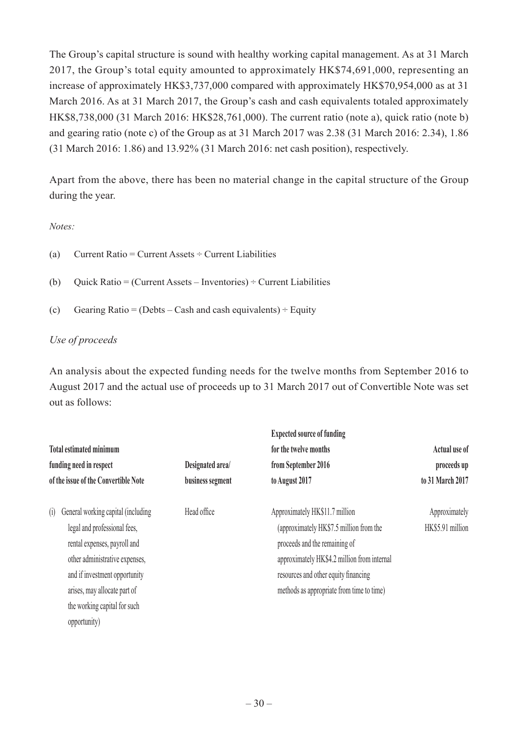The Group's capital structure is sound with healthy working capital management. As at 31 March 2017, the Group's total equity amounted to approximately HK\$74,691,000, representing an increase of approximately HK\$3,737,000 compared with approximately HK\$70,954,000 as at 31 March 2016. As at 31 March 2017, the Group's cash and cash equivalents totaled approximately HK\$8,738,000 (31 March 2016: HK\$28,761,000). The current ratio (note a), quick ratio (note b) and gearing ratio (note c) of the Group as at 31 March 2017 was 2.38 (31 March 2016: 2.34), 1.86 (31 March 2016: 1.86) and 13.92% (31 March 2016: net cash position), respectively.

Apart from the above, there has been no material change in the capital structure of the Group during the year.

*Notes:*

- (a) Current Ratio = Current Assets  $\div$  Current Liabilities
- (b) Ouick Ratio = (Current Assets Inventories)  $\div$  Current Liabilities
- (c) Gearing Ratio = (Debts Cash and cash equivalents)  $\div$  Equity

## *Use of proceeds*

An analysis about the expected funding needs for the twelve months from September 2016 to August 2017 and the actual use of proceeds up to 31 March 2017 out of Convertible Note was set out as follows:

|                                      |                  | <b>Expected source of funding</b>           |                  |
|--------------------------------------|------------------|---------------------------------------------|------------------|
| <b>Total estimated minimum</b>       |                  | for the twelve months                       | Actual use of    |
| funding need in respect              | Designated area/ | from September 2016                         | proceeds up      |
| of the issue of the Convertible Note | business segment | to August 2017                              | to 31 March 2017 |
| General working capital (including   | Head office      | Approximately HK\$11.7 million              | Approximately    |
| legal and professional fees,         |                  | (approximately HK\$7.5 million from the     | HK\$5.91 million |
| rental expenses, payroll and         |                  | proceeds and the remaining of               |                  |
| other administrative expenses,       |                  | approximately HK\$4.2 million from internal |                  |
| and if investment opportunity        |                  | resources and other equity financing        |                  |
| arises, may allocate part of         |                  | methods as appropriate from time to time)   |                  |
| the working capital for such         |                  |                                             |                  |
| opportunity)                         |                  |                                             |                  |
|                                      |                  |                                             |                  |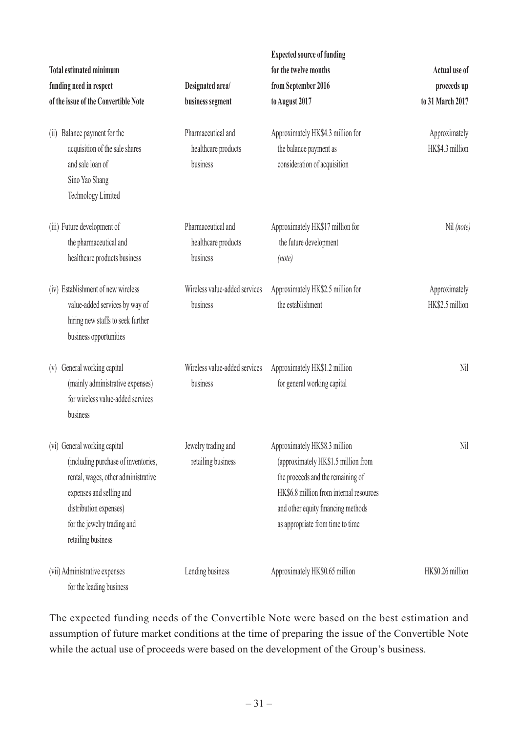| <b>Total estimated minimum</b><br>funding need in respect<br>of the issue of the Convertible Note<br>Balance payment for the<br>(11)<br>acquisition of the sale shares                                                | Designated area/<br>business segment<br>Pharmaceutical and<br>healthcare products | <b>Expected source of funding</b><br>for the twelve months<br>from September 2016<br>to August 2017<br>Approximately HK\$4.3 million for<br>the balance payment as                                                             | Actual use of<br>proceeds up<br>to 31 March 2017<br>Approximately<br>HK\$4.3 million |
|-----------------------------------------------------------------------------------------------------------------------------------------------------------------------------------------------------------------------|-----------------------------------------------------------------------------------|--------------------------------------------------------------------------------------------------------------------------------------------------------------------------------------------------------------------------------|--------------------------------------------------------------------------------------|
| and sale loan of<br>Sino Yao Shang<br><b>Technology Limited</b>                                                                                                                                                       | business                                                                          | consideration of acquisition                                                                                                                                                                                                   |                                                                                      |
| (iii) Future development of<br>the pharmaceutical and<br>healthcare products business                                                                                                                                 | Pharmaceutical and<br>healthcare products<br>business                             | Approximately HK\$17 million for<br>the future development<br>(note)                                                                                                                                                           | Nil (note)                                                                           |
| (iv) Establishment of new wireless<br>value-added services by way of<br>hiring new staffs to seek further<br>business opportunities                                                                                   | Wireless value-added services<br>business                                         | Approximately HK\$2.5 million for<br>the establishment                                                                                                                                                                         | Approximately<br>HK\$2.5 million                                                     |
| General working capital<br>(V)<br>(mainly administrative expenses)<br>for wireless value-added services<br>business                                                                                                   | Wireless value-added services<br>business                                         | Approximately HK\$1.2 million<br>for general working capital                                                                                                                                                                   | Nil                                                                                  |
| (vi) General working capital<br>(including purchase of inventories,<br>rental, wages, other administrative<br>expenses and selling and<br>distribution expenses)<br>for the jewelry trading and<br>retailing business | Jewelry trading and<br>retailing business                                         | Approximately HK\$8.3 million<br>(approximately HK\$1.5 million from<br>the proceeds and the remaining of<br>HK\$6.8 million from internal resources<br>and other equity financing methods<br>as appropriate from time to time | Nil                                                                                  |
| (vii) Administrative expenses<br>for the leading business                                                                                                                                                             | Lending business                                                                  | Approximately HK\$0.65 million                                                                                                                                                                                                 | HK\$0.26 million                                                                     |

The expected funding needs of the Convertible Note were based on the best estimation and assumption of future market conditions at the time of preparing the issue of the Convertible Note while the actual use of proceeds were based on the development of the Group's business.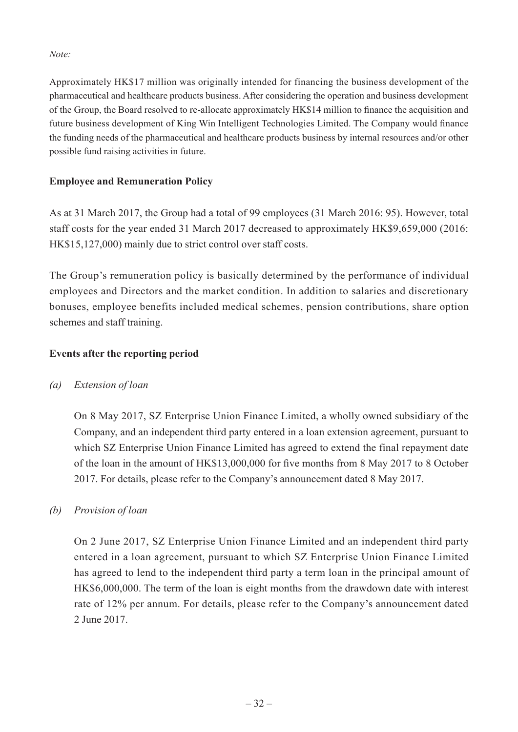#### *Note:*

Approximately HK\$17 million was originally intended for financing the business development of the pharmaceutical and healthcare products business. After considering the operation and business development of the Group, the Board resolved to re-allocate approximately HK\$14 million to finance the acquisition and future business development of King Win Intelligent Technologies Limited. The Company would finance the funding needs of the pharmaceutical and healthcare products business by internal resources and/or other possible fund raising activities in future.

## **Employee and Remuneration Policy**

As at 31 March 2017, the Group had a total of 99 employees (31 March 2016: 95). However, total staff costs for the year ended 31 March 2017 decreased to approximately HK\$9,659,000 (2016: HK\$15,127,000) mainly due to strict control over staff costs.

The Group's remuneration policy is basically determined by the performance of individual employees and Directors and the market condition. In addition to salaries and discretionary bonuses, employee benefits included medical schemes, pension contributions, share option schemes and staff training.

## **Events after the reporting period**

## *(a) Extension of loan*

On 8 May 2017, SZ Enterprise Union Finance Limited, a wholly owned subsidiary of the Company, and an independent third party entered in a loan extension agreement, pursuant to which SZ Enterprise Union Finance Limited has agreed to extend the final repayment date of the loan in the amount of HK\$13,000,000 for five months from 8 May 2017 to 8 October 2017. For details, please refer to the Company's announcement dated 8 May 2017.

## *(b) Provision of loan*

On 2 June 2017, SZ Enterprise Union Finance Limited and an independent third party entered in a loan agreement, pursuant to which SZ Enterprise Union Finance Limited has agreed to lend to the independent third party a term loan in the principal amount of HK\$6,000,000. The term of the loan is eight months from the drawdown date with interest rate of 12% per annum. For details, please refer to the Company's announcement dated 2 June 2017.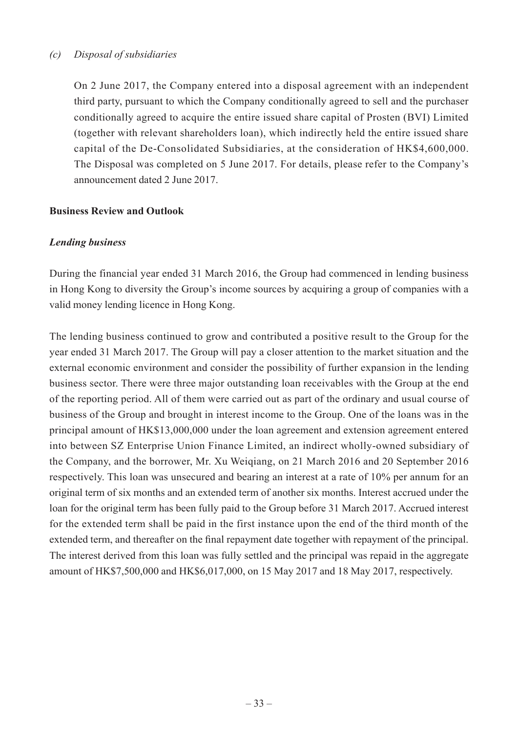## *(c) Disposal of subsidiaries*

On 2 June 2017, the Company entered into a disposal agreement with an independent third party, pursuant to which the Company conditionally agreed to sell and the purchaser conditionally agreed to acquire the entire issued share capital of Prosten (BVI) Limited (together with relevant shareholders loan), which indirectly held the entire issued share capital of the De-Consolidated Subsidiaries, at the consideration of HK\$4,600,000. The Disposal was completed on 5 June 2017. For details, please refer to the Company's announcement dated 2 June 2017.

## **Business Review and Outlook**

## *Lending business*

During the financial year ended 31 March 2016, the Group had commenced in lending business in Hong Kong to diversity the Group's income sources by acquiring a group of companies with a valid money lending licence in Hong Kong.

The lending business continued to grow and contributed a positive result to the Group for the year ended 31 March 2017. The Group will pay a closer attention to the market situation and the external economic environment and consider the possibility of further expansion in the lending business sector. There were three major outstanding loan receivables with the Group at the end of the reporting period. All of them were carried out as part of the ordinary and usual course of business of the Group and brought in interest income to the Group. One of the loans was in the principal amount of HK\$13,000,000 under the loan agreement and extension agreement entered into between SZ Enterprise Union Finance Limited, an indirect wholly-owned subsidiary of the Company, and the borrower, Mr. Xu Weiqiang, on 21 March 2016 and 20 September 2016 respectively. This loan was unsecured and bearing an interest at a rate of 10% per annum for an original term of six months and an extended term of another six months. Interest accrued under the loan for the original term has been fully paid to the Group before 31 March 2017. Accrued interest for the extended term shall be paid in the first instance upon the end of the third month of the extended term, and thereafter on the final repayment date together with repayment of the principal. The interest derived from this loan was fully settled and the principal was repaid in the aggregate amount of HK\$7,500,000 and HK\$6,017,000, on 15 May 2017 and 18 May 2017, respectively.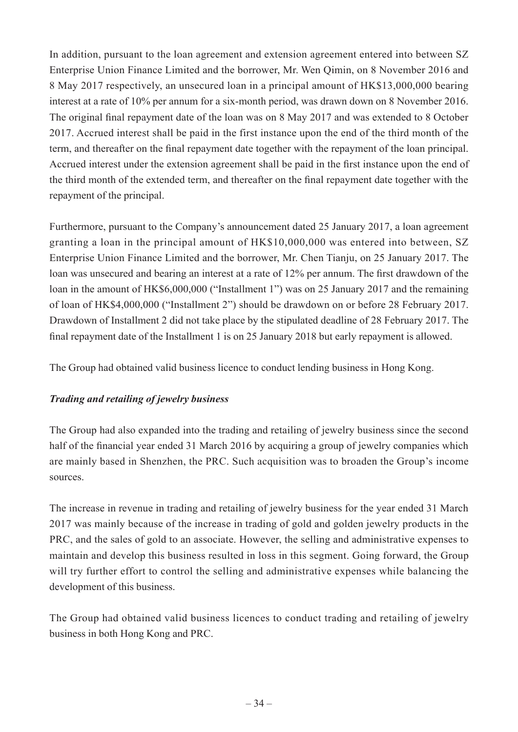In addition, pursuant to the loan agreement and extension agreement entered into between SZ Enterprise Union Finance Limited and the borrower, Mr. Wen Qimin, on 8 November 2016 and 8 May 2017 respectively, an unsecured loan in a principal amount of HK\$13,000,000 bearing interest at a rate of 10% per annum for a six-month period, was drawn down on 8 November 2016. The original final repayment date of the loan was on 8 May 2017 and was extended to 8 October 2017. Accrued interest shall be paid in the first instance upon the end of the third month of the term, and thereafter on the final repayment date together with the repayment of the loan principal. Accrued interest under the extension agreement shall be paid in the first instance upon the end of the third month of the extended term, and thereafter on the final repayment date together with the repayment of the principal.

Furthermore, pursuant to the Company's announcement dated 25 January 2017, a loan agreement granting a loan in the principal amount of HK\$10,000,000 was entered into between, SZ Enterprise Union Finance Limited and the borrower, Mr. Chen Tianju, on 25 January 2017. The loan was unsecured and bearing an interest at a rate of 12% per annum. The first drawdown of the loan in the amount of HK\$6,000,000 ("Installment 1") was on 25 January 2017 and the remaining of loan of HK\$4,000,000 ("Installment 2") should be drawdown on or before 28 February 2017. Drawdown of Installment 2 did not take place by the stipulated deadline of 28 February 2017. The final repayment date of the Installment 1 is on 25 January 2018 but early repayment is allowed.

The Group had obtained valid business licence to conduct lending business in Hong Kong.

## *Trading and retailing of jewelry business*

The Group had also expanded into the trading and retailing of jewelry business since the second half of the financial year ended 31 March 2016 by acquiring a group of jewelry companies which are mainly based in Shenzhen, the PRC. Such acquisition was to broaden the Group's income sources.

The increase in revenue in trading and retailing of jewelry business for the year ended 31 March 2017 was mainly because of the increase in trading of gold and golden jewelry products in the PRC, and the sales of gold to an associate. However, the selling and administrative expenses to maintain and develop this business resulted in loss in this segment. Going forward, the Group will try further effort to control the selling and administrative expenses while balancing the development of this business.

The Group had obtained valid business licences to conduct trading and retailing of jewelry business in both Hong Kong and PRC.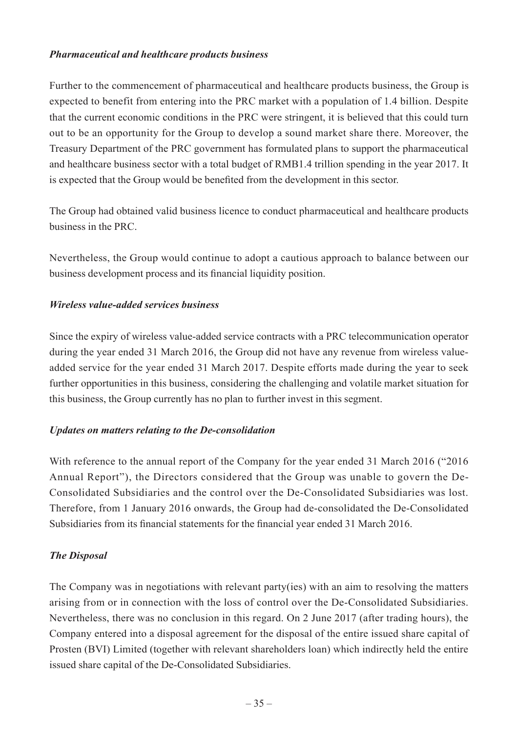## *Pharmaceutical and healthcare products business*

Further to the commencement of pharmaceutical and healthcare products business, the Group is expected to benefit from entering into the PRC market with a population of 1.4 billion. Despite that the current economic conditions in the PRC were stringent, it is believed that this could turn out to be an opportunity for the Group to develop a sound market share there. Moreover, the Treasury Department of the PRC government has formulated plans to support the pharmaceutical and healthcare business sector with a total budget of RMB1.4 trillion spending in the year 2017. It is expected that the Group would be benefited from the development in this sector.

The Group had obtained valid business licence to conduct pharmaceutical and healthcare products business in the PRC.

Nevertheless, the Group would continue to adopt a cautious approach to balance between our business development process and its financial liquidity position.

## *Wireless value-added services business*

Since the expiry of wireless value-added service contracts with a PRC telecommunication operator during the year ended 31 March 2016, the Group did not have any revenue from wireless valueadded service for the year ended 31 March 2017. Despite efforts made during the year to seek further opportunities in this business, considering the challenging and volatile market situation for this business, the Group currently has no plan to further invest in this segment.

## *Updates on matters relating to the De-consolidation*

With reference to the annual report of the Company for the year ended 31 March 2016 ("2016 Annual Report"), the Directors considered that the Group was unable to govern the De-Consolidated Subsidiaries and the control over the De-Consolidated Subsidiaries was lost. Therefore, from 1 January 2016 onwards, the Group had de-consolidated the De-Consolidated Subsidiaries from its financial statements for the financial year ended 31 March 2016.

## *The Disposal*

The Company was in negotiations with relevant party(ies) with an aim to resolving the matters arising from or in connection with the loss of control over the De-Consolidated Subsidiaries. Nevertheless, there was no conclusion in this regard. On 2 June 2017 (after trading hours), the Company entered into a disposal agreement for the disposal of the entire issued share capital of Prosten (BVI) Limited (together with relevant shareholders loan) which indirectly held the entire issued share capital of the De-Consolidated Subsidiaries.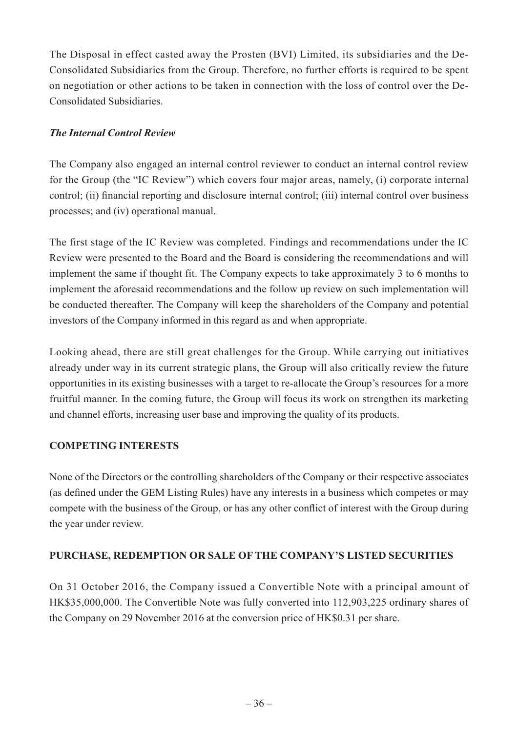The Disposal in effect casted away the Prosten (BVI) Limited, its subsidiaries and the De-Consolidated Subsidiaries from the Group. Therefore, no further efforts is required to be spent on negotiation or other actions to be taken in connection with the loss of control over the De-Consolidated Subsidiaries.

# *The Internal Control Review*

The Company also engaged an internal control reviewer to conduct an internal control review for the Group (the "IC Review") which covers four major areas, namely, (i) corporate internal control; (ii) financial reporting and disclosure internal control; (iii) internal control over business processes; and (iv) operational manual.

The first stage of the IC Review was completed. Findings and recommendations under the IC Review were presented to the Board and the Board is considering the recommendations and will implement the same if thought fit. The Company expects to take approximately 3 to 6 months to implement the aforesaid recommendations and the follow up review on such implementation will be conducted thereafter. The Company will keep the shareholders of the Company and potential investors of the Company informed in this regard as and when appropriate.

Looking ahead, there are still great challenges for the Group. While carrying out initiatives already under way in its current strategic plans, the Group will also critically review the future opportunities in its existing businesses with a target to re-allocate the Group's resources for a more fruitful manner. In the coming future, the Group will focus its work on strengthen its marketing and channel efforts, increasing user base and improving the quality of its products.

## **COMPETING INTERESTS**

None of the Directors or the controlling shareholders of the Company or their respective associates (as defined under the GEM Listing Rules) have any interests in a business which competes or may compete with the business of the Group, or has any other conflict of interest with the Group during the year under review.

## **PURCHASE, REDEMPTION OR SALE OF THE COMPANY'S LISTED SECURITIES**

On 31 October 2016, the Company issued a Convertible Note with a principal amount of HK\$35,000,000. The Convertible Note was fully converted into 112,903,225 ordinary shares of the Company on 29 November 2016 at the conversion price of HK\$0.31 per share.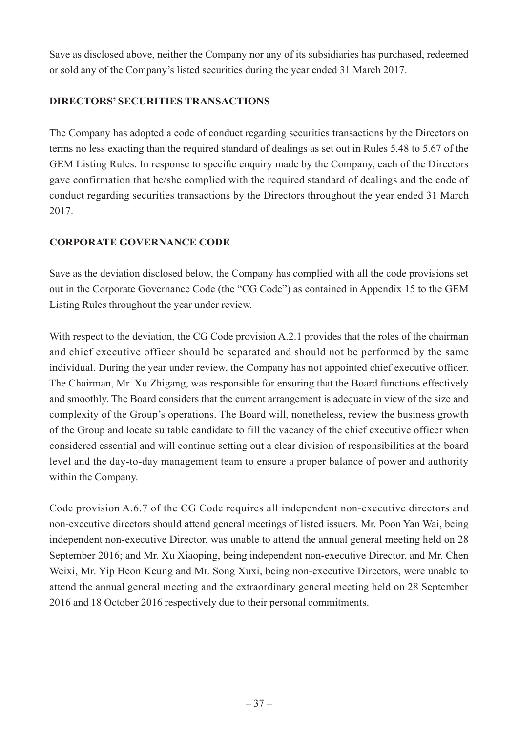Save as disclosed above, neither the Company nor any of its subsidiaries has purchased, redeemed or sold any of the Company's listed securities during the year ended 31 March 2017.

# **DIRECTORS' SECURITIES TRANSACTIONS**

The Company has adopted a code of conduct regarding securities transactions by the Directors on terms no less exacting than the required standard of dealings as set out in Rules 5.48 to 5.67 of the GEM Listing Rules. In response to specific enquiry made by the Company, each of the Directors gave confirmation that he/she complied with the required standard of dealings and the code of conduct regarding securities transactions by the Directors throughout the year ended 31 March 2017.

## **CORPORATE GOVERNANCE CODE**

Save as the deviation disclosed below, the Company has complied with all the code provisions set out in the Corporate Governance Code (the "CG Code") as contained in Appendix 15 to the GEM Listing Rules throughout the year under review.

With respect to the deviation, the CG Code provision A.2.1 provides that the roles of the chairman and chief executive officer should be separated and should not be performed by the same individual. During the year under review, the Company has not appointed chief executive officer. The Chairman, Mr. Xu Zhigang, was responsible for ensuring that the Board functions effectively and smoothly. The Board considers that the current arrangement is adequate in view of the size and complexity of the Group's operations. The Board will, nonetheless, review the business growth of the Group and locate suitable candidate to fill the vacancy of the chief executive officer when considered essential and will continue setting out a clear division of responsibilities at the board level and the day-to-day management team to ensure a proper balance of power and authority within the Company.

Code provision A.6.7 of the CG Code requires all independent non-executive directors and non-executive directors should attend general meetings of listed issuers. Mr. Poon Yan Wai, being independent non-executive Director, was unable to attend the annual general meeting held on 28 September 2016; and Mr. Xu Xiaoping, being independent non-executive Director, and Mr. Chen Weixi, Mr. Yip Heon Keung and Mr. Song Xuxi, being non-executive Directors, were unable to attend the annual general meeting and the extraordinary general meeting held on 28 September 2016 and 18 October 2016 respectively due to their personal commitments.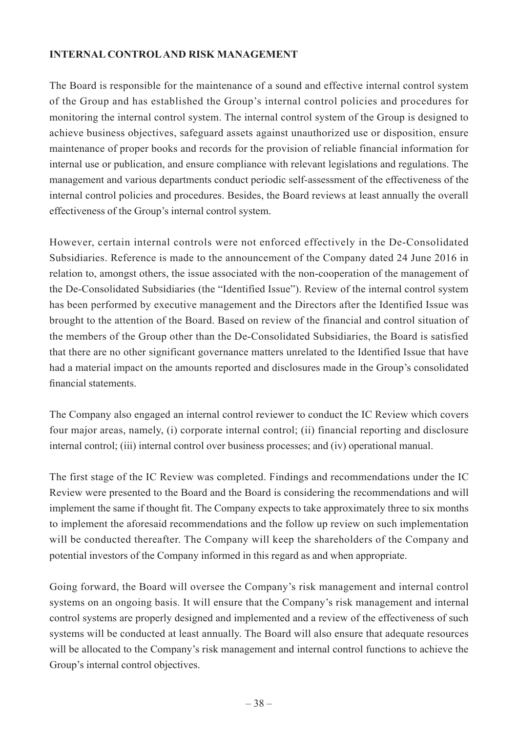# **Internal Controland risk management**

The Board is responsible for the maintenance of a sound and effective internal control system of the Group and has established the Group's internal control policies and procedures for monitoring the internal control system. The internal control system of the Group is designed to achieve business objectives, safeguard assets against unauthorized use or disposition, ensure maintenance of proper books and records for the provision of reliable financial information for internal use or publication, and ensure compliance with relevant legislations and regulations. The management and various departments conduct periodic self-assessment of the effectiveness of the internal control policies and procedures. Besides, the Board reviews at least annually the overall effectiveness of the Group's internal control system.

However, certain internal controls were not enforced effectively in the De-Consolidated Subsidiaries. Reference is made to the announcement of the Company dated 24 June 2016 in relation to, amongst others, the issue associated with the non-cooperation of the management of the De-Consolidated Subsidiaries (the "Identified Issue"). Review of the internal control system has been performed by executive management and the Directors after the Identified Issue was brought to the attention of the Board. Based on review of the financial and control situation of the members of the Group other than the De-Consolidated Subsidiaries, the Board is satisfied that there are no other significant governance matters unrelated to the Identified Issue that have had a material impact on the amounts reported and disclosures made in the Group's consolidated financial statements.

The Company also engaged an internal control reviewer to conduct the IC Review which covers four major areas, namely, (i) corporate internal control; (ii) financial reporting and disclosure internal control; (iii) internal control over business processes; and (iv) operational manual.

The first stage of the IC Review was completed. Findings and recommendations under the IC Review were presented to the Board and the Board is considering the recommendations and will implement the same if thought fit. The Company expects to take approximately three to six months to implement the aforesaid recommendations and the follow up review on such implementation will be conducted thereafter. The Company will keep the shareholders of the Company and potential investors of the Company informed in this regard as and when appropriate.

Going forward, the Board will oversee the Company's risk management and internal control systems on an ongoing basis. It will ensure that the Company's risk management and internal control systems are properly designed and implemented and a review of the effectiveness of such systems will be conducted at least annually. The Board will also ensure that adequate resources will be allocated to the Company's risk management and internal control functions to achieve the Group's internal control objectives.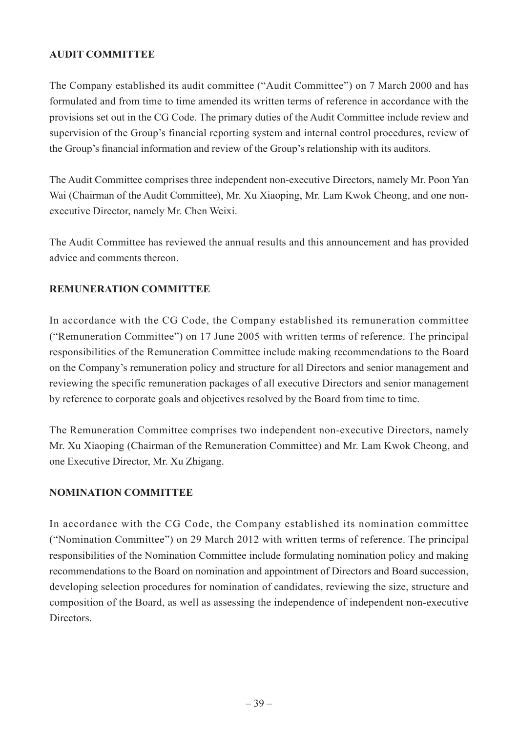# **AUDIT COMMITTEE**

The Company established its audit committee ("Audit Committee") on 7 March 2000 and has formulated and from time to time amended its written terms of reference in accordance with the provisions set out in the CG Code. The primary duties of the Audit Committee include review and supervision of the Group's financial reporting system and internal control procedures, review of the Group's financial information and review of the Group's relationship with its auditors.

The Audit Committee comprises three independent non-executive Directors, namely Mr. Poon Yan Wai (Chairman of the Audit Committee), Mr. Xu Xiaoping, Mr. Lam Kwok Cheong, and one nonexecutive Director, namely Mr. Chen Weixi.

The Audit Committee has reviewed the annual results and this announcement and has provided advice and comments thereon.

## **REMUNERATION COMMITTEE**

In accordance with the CG Code, the Company established its remuneration committee ("Remuneration Committee") on 17 June 2005 with written terms of reference. The principal responsibilities of the Remuneration Committee include making recommendations to the Board on the Company's remuneration policy and structure for all Directors and senior management and reviewing the specific remuneration packages of all executive Directors and senior management by reference to corporate goals and objectives resolved by the Board from time to time.

The Remuneration Committee comprises two independent non-executive Directors, namely Mr. Xu Xiaoping (Chairman of the Remuneration Committee) and Mr. Lam Kwok Cheong, and one Executive Director, Mr. Xu Zhigang.

## **NOMINATION COMMITTEE**

In accordance with the CG Code, the Company established its nomination committee ("Nomination Committee") on 29 March 2012 with written terms of reference. The principal responsibilities of the Nomination Committee include formulating nomination policy and making recommendations to the Board on nomination and appointment of Directors and Board succession, developing selection procedures for nomination of candidates, reviewing the size, structure and composition of the Board, as well as assessing the independence of independent non-executive Directors.